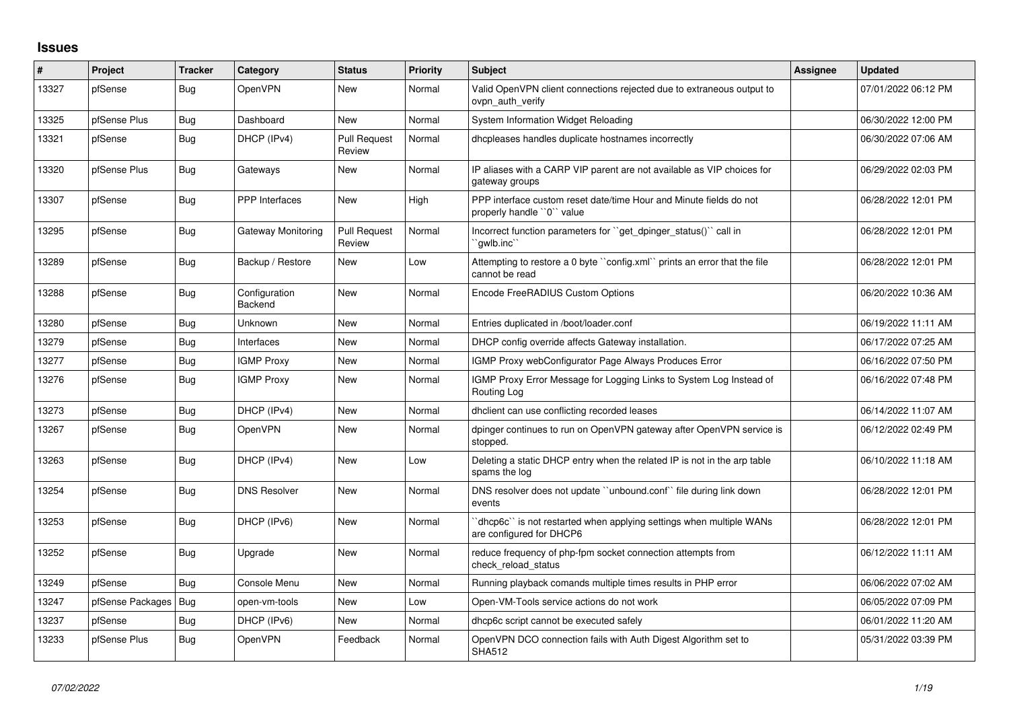## **Issues**

| ∦     | Project          | Tracker    | Category                        | <b>Status</b>                 | <b>Priority</b> | <b>Subject</b>                                                                                  | Assignee | Updated             |
|-------|------------------|------------|---------------------------------|-------------------------------|-----------------|-------------------------------------------------------------------------------------------------|----------|---------------------|
| 13327 | pfSense          | Bug        | <b>OpenVPN</b>                  | New                           | Normal          | Valid OpenVPN client connections rejected due to extraneous output to<br>ovpn auth verify       |          | 07/01/2022 06:12 PM |
| 13325 | pfSense Plus     | Bug        | Dashboard                       | <b>New</b>                    | Normal          | System Information Widget Reloading                                                             |          | 06/30/2022 12:00 PM |
| 13321 | pfSense          | <b>Bug</b> | DHCP (IPv4)                     | <b>Pull Request</b><br>Review | Normal          | dhcpleases handles duplicate hostnames incorrectly                                              |          | 06/30/2022 07:06 AM |
| 13320 | pfSense Plus     | <b>Bug</b> | Gateways                        | <b>New</b>                    | Normal          | IP aliases with a CARP VIP parent are not available as VIP choices for<br>gateway groups        |          | 06/29/2022 02:03 PM |
| 13307 | pfSense          | Bug        | <b>PPP</b> Interfaces           | New                           | High            | PPP interface custom reset date/time Hour and Minute fields do not<br>properly handle "0" value |          | 06/28/2022 12:01 PM |
| 13295 | pfSense          | Bug        | Gateway Monitoring              | <b>Pull Request</b><br>Review | Normal          | Incorrect function parameters for "get_dpinger_status()" call in<br>`qwlb.inc`                  |          | 06/28/2022 12:01 PM |
| 13289 | pfSense          | Bug        | Backup / Restore                | New                           | Low             | Attempting to restore a 0 byte "config.xml" prints an error that the file<br>cannot be read     |          | 06/28/2022 12:01 PM |
| 13288 | pfSense          | Bug        | Configuration<br><b>Backend</b> | New                           | Normal          | Encode FreeRADIUS Custom Options                                                                |          | 06/20/2022 10:36 AM |
| 13280 | pfSense          | <b>Bug</b> | Unknown                         | <b>New</b>                    | Normal          | Entries duplicated in /boot/loader.conf                                                         |          | 06/19/2022 11:11 AM |
| 13279 | pfSense          | <b>Bug</b> | Interfaces                      | New                           | Normal          | DHCP config override affects Gateway installation.                                              |          | 06/17/2022 07:25 AM |
| 13277 | pfSense          | <b>Bug</b> | <b>IGMP Proxy</b>               | New                           | Normal          | IGMP Proxy webConfigurator Page Always Produces Error                                           |          | 06/16/2022 07:50 PM |
| 13276 | pfSense          | Bug        | <b>IGMP Proxy</b>               | New                           | Normal          | IGMP Proxy Error Message for Logging Links to System Log Instead of<br>Routing Log              |          | 06/16/2022 07:48 PM |
| 13273 | pfSense          | <b>Bug</b> | DHCP (IPv4)                     | <b>New</b>                    | Normal          | dhclient can use conflicting recorded leases                                                    |          | 06/14/2022 11:07 AM |
| 13267 | pfSense          | <b>Bug</b> | <b>OpenVPN</b>                  | New                           | Normal          | dpinger continues to run on OpenVPN gateway after OpenVPN service is<br>stopped.                |          | 06/12/2022 02:49 PM |
| 13263 | pfSense          | Bug        | DHCP (IPv4)                     | New                           | Low             | Deleting a static DHCP entry when the related IP is not in the arp table<br>spams the log       |          | 06/10/2022 11:18 AM |
| 13254 | pfSense          | Bug        | <b>DNS Resolver</b>             | New                           | Normal          | DNS resolver does not update "unbound.conf" file during link down<br>events                     |          | 06/28/2022 12:01 PM |
| 13253 | pfSense          | Bug        | DHCP (IPv6)                     | <b>New</b>                    | Normal          | 'dhcp6c' is not restarted when applying settings when multiple WANs<br>are configured for DHCP6 |          | 06/28/2022 12:01 PM |
| 13252 | pfSense          | Bug        | Upgrade                         | New                           | Normal          | reduce frequency of php-fpm socket connection attempts from<br>check reload status              |          | 06/12/2022 11:11 AM |
| 13249 | pfSense          | <b>Bug</b> | Console Menu                    | <b>New</b>                    | Normal          | Running playback comands multiple times results in PHP error                                    |          | 06/06/2022 07:02 AM |
| 13247 | pfSense Packages | <b>Bug</b> | open-vm-tools                   | New                           | Low             | Open-VM-Tools service actions do not work                                                       |          | 06/05/2022 07:09 PM |
| 13237 | pfSense          | <b>Bug</b> | DHCP (IPv6)                     | New                           | Normal          | dhcp6c script cannot be executed safely                                                         |          | 06/01/2022 11:20 AM |
| 13233 | pfSense Plus     | <b>Bug</b> | OpenVPN                         | Feedback                      | Normal          | OpenVPN DCO connection fails with Auth Digest Algorithm set to<br><b>SHA512</b>                 |          | 05/31/2022 03:39 PM |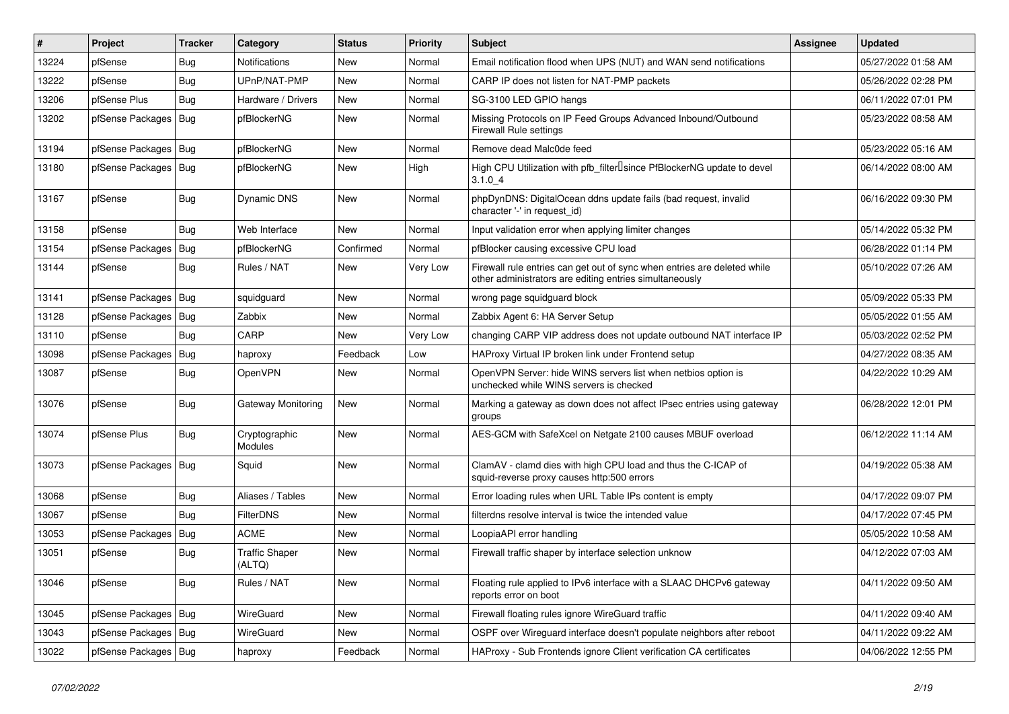| $\vert$ # | Project                | Tracker    | Category                        | <b>Status</b> | Priority | Subject                                                                                                                             | <b>Assignee</b> | <b>Updated</b>      |
|-----------|------------------------|------------|---------------------------------|---------------|----------|-------------------------------------------------------------------------------------------------------------------------------------|-----------------|---------------------|
| 13224     | pfSense                | <b>Bug</b> | Notifications                   | New           | Normal   | Email notification flood when UPS (NUT) and WAN send notifications                                                                  |                 | 05/27/2022 01:58 AM |
| 13222     | pfSense                | Bug        | UPnP/NAT-PMP                    | New           | Normal   | CARP IP does not listen for NAT-PMP packets                                                                                         |                 | 05/26/2022 02:28 PM |
| 13206     | pfSense Plus           | Bug        | Hardware / Drivers              | New           | Normal   | SG-3100 LED GPIO hangs                                                                                                              |                 | 06/11/2022 07:01 PM |
| 13202     | pfSense Packages   Bug |            | pfBlockerNG                     | New           | Normal   | Missing Protocols on IP Feed Groups Advanced Inbound/Outbound<br><b>Firewall Rule settings</b>                                      |                 | 05/23/2022 08:58 AM |
| 13194     | pfSense Packages   Bug |            | pfBlockerNG                     | New           | Normal   | Remove dead Malc0de feed                                                                                                            |                 | 05/23/2022 05:16 AM |
| 13180     | pfSense Packages   Bug |            | pfBlockerNG                     | New           | High     | High CPU Utilization with pfb_filterLsince PfBlockerNG update to devel<br>$3.1.0 - 4$                                               |                 | 06/14/2022 08:00 AM |
| 13167     | pfSense                | Bug        | Dynamic DNS                     | New           | Normal   | phpDynDNS: DigitalOcean ddns update fails (bad request, invalid<br>character '-' in request_id)                                     |                 | 06/16/2022 09:30 PM |
| 13158     | pfSense                | Bug        | Web Interface                   | New           | Normal   | Input validation error when applying limiter changes                                                                                |                 | 05/14/2022 05:32 PM |
| 13154     | pfSense Packages   Bug |            | pfBlockerNG                     | Confirmed     | Normal   | pfBlocker causing excessive CPU load                                                                                                |                 | 06/28/2022 01:14 PM |
| 13144     | pfSense                | Bug        | Rules / NAT                     | New           | Very Low | Firewall rule entries can get out of sync when entries are deleted while<br>other administrators are editing entries simultaneously |                 | 05/10/2022 07:26 AM |
| 13141     | pfSense Packages   Bug |            | squidguard                      | <b>New</b>    | Normal   | wrong page squidguard block                                                                                                         |                 | 05/09/2022 05:33 PM |
| 13128     | pfSense Packages   Bug |            | Zabbix                          | New           | Normal   | Zabbix Agent 6: HA Server Setup                                                                                                     |                 | 05/05/2022 01:55 AM |
| 13110     | pfSense                | Bug        | CARP                            | New           | Very Low | changing CARP VIP address does not update outbound NAT interface IP                                                                 |                 | 05/03/2022 02:52 PM |
| 13098     | pfSense Packages   Bug |            | haproxy                         | Feedback      | Low      | HAProxy Virtual IP broken link under Frontend setup                                                                                 |                 | 04/27/2022 08:35 AM |
| 13087     | pfSense                | Bug        | OpenVPN                         | New           | Normal   | OpenVPN Server: hide WINS servers list when netbios option is<br>unchecked while WINS servers is checked                            |                 | 04/22/2022 10:29 AM |
| 13076     | pfSense                | Bug        | <b>Gateway Monitoring</b>       | New           | Normal   | Marking a gateway as down does not affect IPsec entries using gateway<br>groups                                                     |                 | 06/28/2022 12:01 PM |
| 13074     | pfSense Plus           | Bug        | Cryptographic<br>Modules        | New           | Normal   | AES-GCM with SafeXcel on Netgate 2100 causes MBUF overload                                                                          |                 | 06/12/2022 11:14 AM |
| 13073     | pfSense Packages   Bug |            | Squid                           | <b>New</b>    | Normal   | ClamAV - clamd dies with high CPU load and thus the C-ICAP of<br>squid-reverse proxy causes http:500 errors                         |                 | 04/19/2022 05:38 AM |
| 13068     | pfSense                | Bug        | Aliases / Tables                | <b>New</b>    | Normal   | Error loading rules when URL Table IPs content is empty                                                                             |                 | 04/17/2022 09:07 PM |
| 13067     | pfSense                | Bug        | <b>FilterDNS</b>                | New           | Normal   | filterdns resolve interval is twice the intended value                                                                              |                 | 04/17/2022 07:45 PM |
| 13053     | pfSense Packages       | Bug        | <b>ACME</b>                     | New           | Normal   | LoopiaAPI error handling                                                                                                            |                 | 05/05/2022 10:58 AM |
| 13051     | pfSense                | <b>Bug</b> | <b>Traffic Shaper</b><br>(ALTQ) | New           | Normal   | Firewall traffic shaper by interface selection unknow                                                                               |                 | 04/12/2022 07:03 AM |
| 13046     | pfSense                | <b>Bug</b> | Rules / NAT                     | New           | Normal   | Floating rule applied to IPv6 interface with a SLAAC DHCPv6 gateway<br>reports error on boot                                        |                 | 04/11/2022 09:50 AM |
| 13045     | pfSense Packages   Bug |            | WireGuard                       | New           | Normal   | Firewall floating rules ignore WireGuard traffic                                                                                    |                 | 04/11/2022 09:40 AM |
| 13043     | pfSense Packages   Bug |            | WireGuard                       | New           | Normal   | OSPF over Wireguard interface doesn't populate neighbors after reboot                                                               |                 | 04/11/2022 09:22 AM |
| 13022     | pfSense Packages   Bug |            | haproxy                         | Feedback      | Normal   | HAProxy - Sub Frontends ignore Client verification CA certificates                                                                  |                 | 04/06/2022 12:55 PM |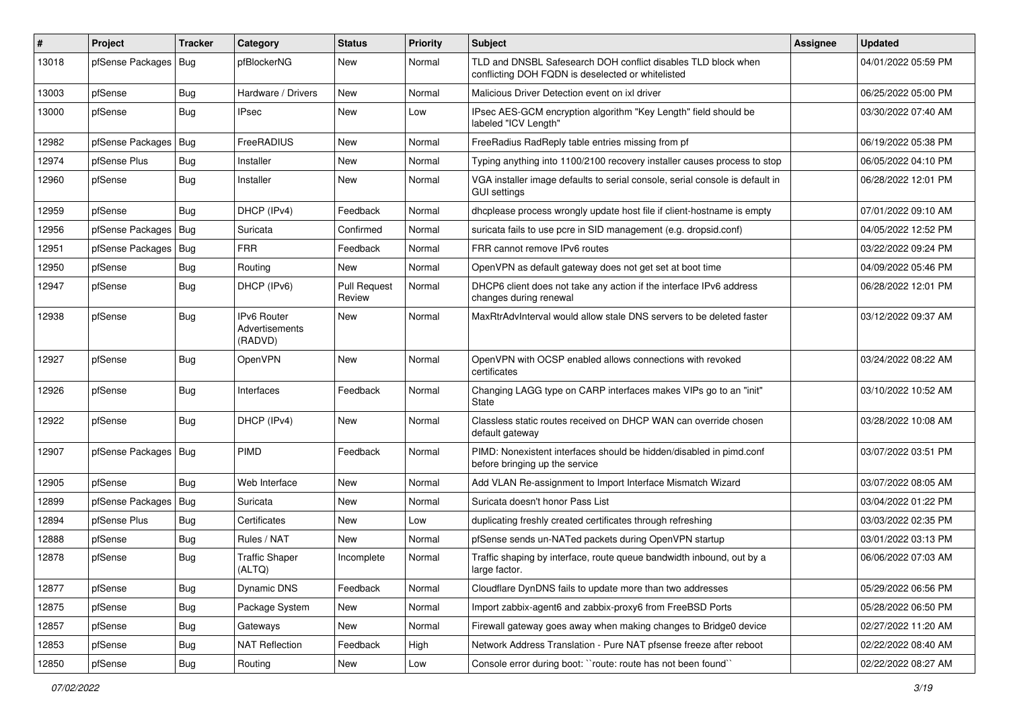| #     | Project                | Tracker    | Category                                        | <b>Status</b>                 | <b>Priority</b> | <b>Subject</b>                                                                                                     | Assignee | <b>Updated</b>      |
|-------|------------------------|------------|-------------------------------------------------|-------------------------------|-----------------|--------------------------------------------------------------------------------------------------------------------|----------|---------------------|
| 13018 | pfSense Packages       | Bug        | pfBlockerNG                                     | New                           | Normal          | TLD and DNSBL Safesearch DOH conflict disables TLD block when<br>conflicting DOH FQDN is deselected or whitelisted |          | 04/01/2022 05:59 PM |
| 13003 | pfSense                | Bug        | Hardware / Drivers                              | New                           | Normal          | Malicious Driver Detection event on ixl driver                                                                     |          | 06/25/2022 05:00 PM |
| 13000 | pfSense                | <b>Bug</b> | <b>IPsec</b>                                    | New                           | Low             | IPsec AES-GCM encryption algorithm "Key Length" field should be<br>labeled "ICV Length"                            |          | 03/30/2022 07:40 AM |
| 12982 | pfSense Packages       | Bug        | FreeRADIUS                                      | <b>New</b>                    | Normal          | FreeRadius RadReply table entries missing from pf                                                                  |          | 06/19/2022 05:38 PM |
| 12974 | pfSense Plus           | <b>Bug</b> | Installer                                       | New                           | Normal          | Typing anything into 1100/2100 recovery installer causes process to stop                                           |          | 06/05/2022 04:10 PM |
| 12960 | pfSense                | <b>Bug</b> | Installer                                       | New                           | Normal          | VGA installer image defaults to serial console, serial console is default in<br><b>GUI settings</b>                |          | 06/28/2022 12:01 PM |
| 12959 | pfSense                | <b>Bug</b> | DHCP (IPv4)                                     | Feedback                      | Normal          | dhcplease process wrongly update host file if client-hostname is empty                                             |          | 07/01/2022 09:10 AM |
| 12956 | pfSense Packages   Bug |            | Suricata                                        | Confirmed                     | Normal          | suricata fails to use pcre in SID management (e.g. dropsid.conf)                                                   |          | 04/05/2022 12:52 PM |
| 12951 | pfSense Packages   Bug |            | <b>FRR</b>                                      | Feedback                      | Normal          | FRR cannot remove IPv6 routes                                                                                      |          | 03/22/2022 09:24 PM |
| 12950 | pfSense                | Bug        | Routing                                         | New                           | Normal          | OpenVPN as default gateway does not get set at boot time                                                           |          | 04/09/2022 05:46 PM |
| 12947 | pfSense                | <b>Bug</b> | DHCP (IPv6)                                     | <b>Pull Request</b><br>Review | Normal          | DHCP6 client does not take any action if the interface IPv6 address<br>changes during renewal                      |          | 06/28/2022 12:01 PM |
| 12938 | pfSense                | <b>Bug</b> | <b>IPv6 Router</b><br>Advertisements<br>(RADVD) | <b>New</b>                    | Normal          | MaxRtrAdvInterval would allow stale DNS servers to be deleted faster                                               |          | 03/12/2022 09:37 AM |
| 12927 | pfSense                | <b>Bug</b> | OpenVPN                                         | New                           | Normal          | OpenVPN with OCSP enabled allows connections with revoked<br>certificates                                          |          | 03/24/2022 08:22 AM |
| 12926 | pfSense                | <b>Bug</b> | Interfaces                                      | Feedback                      | Normal          | Changing LAGG type on CARP interfaces makes VIPs go to an "init"<br><b>State</b>                                   |          | 03/10/2022 10:52 AM |
| 12922 | pfSense                | <b>Bug</b> | DHCP (IPv4)                                     | New                           | Normal          | Classless static routes received on DHCP WAN can override chosen<br>default gateway                                |          | 03/28/2022 10:08 AM |
| 12907 | pfSense Packages   Bug |            | PIMD                                            | Feedback                      | Normal          | PIMD: Nonexistent interfaces should be hidden/disabled in pimd.conf<br>before bringing up the service              |          | 03/07/2022 03:51 PM |
| 12905 | pfSense                | <b>Bug</b> | Web Interface                                   | <b>New</b>                    | Normal          | Add VLAN Re-assignment to Import Interface Mismatch Wizard                                                         |          | 03/07/2022 08:05 AM |
| 12899 | pfSense Packages   Bug |            | Suricata                                        | New                           | Normal          | Suricata doesn't honor Pass List                                                                                   |          | 03/04/2022 01:22 PM |
| 12894 | pfSense Plus           | <b>Bug</b> | Certificates                                    | New                           | Low             | duplicating freshly created certificates through refreshing                                                        |          | 03/03/2022 02:35 PM |
| 12888 | pfSense                | <b>Bug</b> | Rules / NAT                                     | New                           | Normal          | pfSense sends un-NATed packets during OpenVPN startup                                                              |          | 03/01/2022 03:13 PM |
| 12878 | pfSense                | <b>Bug</b> | <b>Traffic Shaper</b><br>(ALTQ)                 | Incomplete                    | Normal          | Traffic shaping by interface, route queue bandwidth inbound, out by a<br>large factor.                             |          | 06/06/2022 07:03 AM |
| 12877 | pfSense                | Bug        | Dynamic DNS                                     | Feedback                      | Normal          | Cloudflare DynDNS fails to update more than two addresses                                                          |          | 05/29/2022 06:56 PM |
| 12875 | pfSense                | Bug        | Package System                                  | New                           | Normal          | Import zabbix-agent6 and zabbix-proxy6 from FreeBSD Ports                                                          |          | 05/28/2022 06:50 PM |
| 12857 | pfSense                | <b>Bug</b> | Gateways                                        | New                           | Normal          | Firewall gateway goes away when making changes to Bridge0 device                                                   |          | 02/27/2022 11:20 AM |
| 12853 | pfSense                | <b>Bug</b> | <b>NAT Reflection</b>                           | Feedback                      | High            | Network Address Translation - Pure NAT pfsense freeze after reboot                                                 |          | 02/22/2022 08:40 AM |
| 12850 | pfSense                | Bug        | Routing                                         | New                           | Low             | Console error during boot: "route: route has not been found"                                                       |          | 02/22/2022 08:27 AM |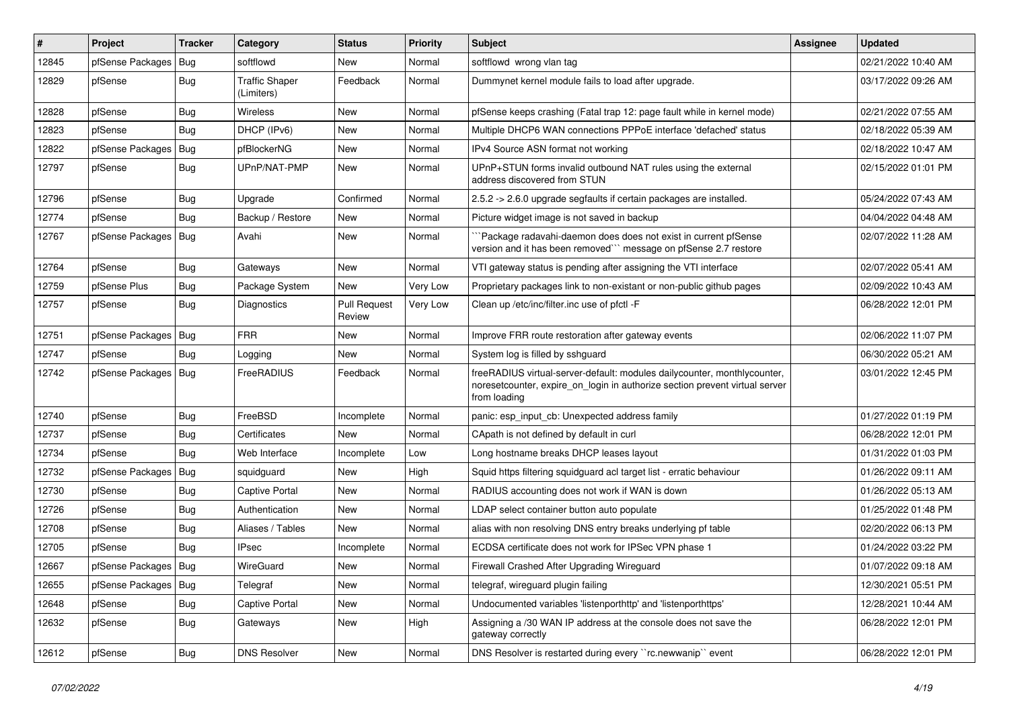| #     | <b>Project</b>         | Tracker    | Category                            | <b>Status</b>                 | <b>Priority</b> | <b>Subject</b>                                                                                                                                                          | <b>Assignee</b> | <b>Updated</b>      |
|-------|------------------------|------------|-------------------------------------|-------------------------------|-----------------|-------------------------------------------------------------------------------------------------------------------------------------------------------------------------|-----------------|---------------------|
| 12845 | pfSense Packages       | Bug        | softflowd                           | New                           | Normal          | softflowd wrong vlan tag                                                                                                                                                |                 | 02/21/2022 10:40 AM |
| 12829 | pfSense                | Bug        | <b>Traffic Shaper</b><br>(Limiters) | Feedback                      | Normal          | Dummynet kernel module fails to load after upgrade.                                                                                                                     |                 | 03/17/2022 09:26 AM |
| 12828 | pfSense                | Bug        | <b>Wireless</b>                     | New                           | Normal          | pfSense keeps crashing (Fatal trap 12: page fault while in kernel mode)                                                                                                 |                 | 02/21/2022 07:55 AM |
| 12823 | pfSense                | Bug        | DHCP (IPv6)                         | New                           | Normal          | Multiple DHCP6 WAN connections PPPoE interface 'defached' status                                                                                                        |                 | 02/18/2022 05:39 AM |
| 12822 | pfSense Packages       | Bug        | pfBlockerNG                         | New                           | Normal          | IPv4 Source ASN format not working                                                                                                                                      |                 | 02/18/2022 10:47 AM |
| 12797 | pfSense                | <b>Bug</b> | UPnP/NAT-PMP                        | New                           | Normal          | UPnP+STUN forms invalid outbound NAT rules using the external<br>address discovered from STUN                                                                           |                 | 02/15/2022 01:01 PM |
| 12796 | pfSense                | <b>Bug</b> | Upgrade                             | Confirmed                     | Normal          | 2.5.2 -> 2.6.0 upgrade segfaults if certain packages are installed.                                                                                                     |                 | 05/24/2022 07:43 AM |
| 12774 | pfSense                | <b>Bug</b> | Backup / Restore                    | New                           | Normal          | Picture widget image is not saved in backup                                                                                                                             |                 | 04/04/2022 04:48 AM |
| 12767 | pfSense Packages       | <b>Bug</b> | Avahi                               | New                           | Normal          | Package radavahi-daemon does does not exist in current pfSense<br>version and it has been removed" message on pfSense 2.7 restore                                       |                 | 02/07/2022 11:28 AM |
| 12764 | pfSense                | Bug        | Gateways                            | <b>New</b>                    | Normal          | VTI gateway status is pending after assigning the VTI interface                                                                                                         |                 | 02/07/2022 05:41 AM |
| 12759 | pfSense Plus           | <b>Bug</b> | Package System                      | New                           | Very Low        | Proprietary packages link to non-existant or non-public github pages                                                                                                    |                 | 02/09/2022 10:43 AM |
| 12757 | pfSense                | <b>Bug</b> | Diagnostics                         | <b>Pull Request</b><br>Review | Very Low        | Clean up /etc/inc/filter.inc use of pfctl -F                                                                                                                            |                 | 06/28/2022 12:01 PM |
| 12751 | pfSense Packages       | <b>Bug</b> | <b>FRR</b>                          | New                           | Normal          | Improve FRR route restoration after gateway events                                                                                                                      |                 | 02/06/2022 11:07 PM |
| 12747 | pfSense                | <b>Bug</b> | Logging                             | New                           | Normal          | System log is filled by sshguard                                                                                                                                        |                 | 06/30/2022 05:21 AM |
| 12742 | pfSense Packages       | <b>Bug</b> | FreeRADIUS                          | Feedback                      | Normal          | freeRADIUS virtual-server-default: modules dailycounter, monthlycounter,<br>noresetcounter, expire on login in authorize section prevent virtual server<br>from loading |                 | 03/01/2022 12:45 PM |
| 12740 | pfSense                | <b>Bug</b> | FreeBSD                             | Incomplete                    | Normal          | panic: esp input cb: Unexpected address family                                                                                                                          |                 | 01/27/2022 01:19 PM |
| 12737 | pfSense                | Bug        | Certificates                        | New                           | Normal          | CApath is not defined by default in curl                                                                                                                                |                 | 06/28/2022 12:01 PM |
| 12734 | pfSense                | Bug        | Web Interface                       | Incomplete                    | Low             | Long hostname breaks DHCP leases layout                                                                                                                                 |                 | 01/31/2022 01:03 PM |
| 12732 | pfSense Packages       | <b>Bug</b> | squidguard                          | New                           | High            | Squid https filtering squidguard acl target list - erratic behaviour                                                                                                    |                 | 01/26/2022 09:11 AM |
| 12730 | pfSense                | <b>Bug</b> | Captive Portal                      | New                           | Normal          | RADIUS accounting does not work if WAN is down                                                                                                                          |                 | 01/26/2022 05:13 AM |
| 12726 | pfSense                | <b>Bug</b> | Authentication                      | New                           | Normal          | LDAP select container button auto populate                                                                                                                              |                 | 01/25/2022 01:48 PM |
| 12708 | pfSense                | <b>Bug</b> | Aliases / Tables                    | New                           | Normal          | alias with non resolving DNS entry breaks underlying pf table                                                                                                           |                 | 02/20/2022 06:13 PM |
| 12705 | pfSense                | Bug        | <b>IPsec</b>                        | Incomplete                    | Normal          | ECDSA certificate does not work for IPSec VPN phase 1                                                                                                                   |                 | 01/24/2022 03:22 PM |
| 12667 | pfSense Packages   Bug |            | WireGuard                           | New                           | Normal          | Firewall Crashed After Upgrading Wireguard                                                                                                                              |                 | 01/07/2022 09:18 AM |
| 12655 | pfSense Packages       | Bug        | Telegraf                            | New                           | Normal          | telegraf, wireguard plugin failing                                                                                                                                      |                 | 12/30/2021 05:51 PM |
| 12648 | pfSense                | <b>Bug</b> | Captive Portal                      | New                           | Normal          | Undocumented variables 'listenporthttp' and 'listenporthttps'                                                                                                           |                 | 12/28/2021 10:44 AM |
| 12632 | pfSense                | <b>Bug</b> | Gateways                            | New                           | High            | Assigning a /30 WAN IP address at the console does not save the<br>gateway correctly                                                                                    |                 | 06/28/2022 12:01 PM |
| 12612 | pfSense                | <b>Bug</b> | <b>DNS Resolver</b>                 | New                           | Normal          | DNS Resolver is restarted during every "rc.newwanip" event                                                                                                              |                 | 06/28/2022 12:01 PM |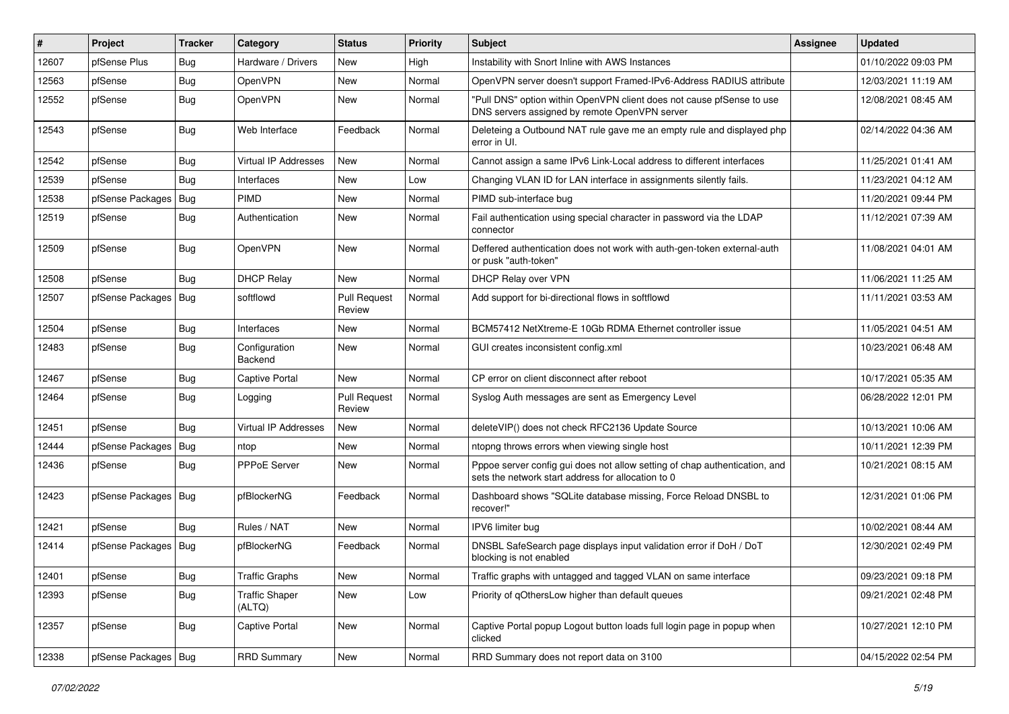| #     | Project                | <b>Tracker</b> | Category                        | <b>Status</b>                 | <b>Priority</b> | <b>Subject</b>                                                                                                                   | <b>Assignee</b> | <b>Updated</b>      |
|-------|------------------------|----------------|---------------------------------|-------------------------------|-----------------|----------------------------------------------------------------------------------------------------------------------------------|-----------------|---------------------|
| 12607 | pfSense Plus           | Bug            | Hardware / Drivers              | New                           | High            | Instability with Snort Inline with AWS Instances                                                                                 |                 | 01/10/2022 09:03 PM |
| 12563 | pfSense                | Bug            | OpenVPN                         | <b>New</b>                    | Normal          | OpenVPN server doesn't support Framed-IPv6-Address RADIUS attribute                                                              |                 | 12/03/2021 11:19 AM |
| 12552 | pfSense                | Bug            | OpenVPN                         | New                           | Normal          | "Pull DNS" option within OpenVPN client does not cause pfSense to use<br>DNS servers assigned by remote OpenVPN server           |                 | 12/08/2021 08:45 AM |
| 12543 | pfSense                | <b>Bug</b>     | Web Interface                   | Feedback                      | Normal          | Deleteing a Outbound NAT rule gave me an empty rule and displayed php<br>error in UI.                                            |                 | 02/14/2022 04:36 AM |
| 12542 | pfSense                | Bug            | Virtual IP Addresses            | New                           | Normal          | Cannot assign a same IPv6 Link-Local address to different interfaces                                                             |                 | 11/25/2021 01:41 AM |
| 12539 | pfSense                | Bug            | Interfaces                      | <b>New</b>                    | Low             | Changing VLAN ID for LAN interface in assignments silently fails.                                                                |                 | 11/23/2021 04:12 AM |
| 12538 | pfSense Packages       | <b>Bug</b>     | PIMD                            | New                           | Normal          | PIMD sub-interface bug                                                                                                           |                 | 11/20/2021 09:44 PM |
| 12519 | pfSense                | Bug            | Authentication                  | New                           | Normal          | Fail authentication using special character in password via the LDAP<br>connector                                                |                 | 11/12/2021 07:39 AM |
| 12509 | pfSense                | Bug            | OpenVPN                         | New                           | Normal          | Deffered authentication does not work with auth-gen-token external-auth<br>or pusk "auth-token"                                  |                 | 11/08/2021 04:01 AM |
| 12508 | pfSense                | Bug            | <b>DHCP Relay</b>               | New                           | Normal          | DHCP Relay over VPN                                                                                                              |                 | 11/06/2021 11:25 AM |
| 12507 | pfSense Packages   Bug |                | softflowd                       | <b>Pull Request</b><br>Review | Normal          | Add support for bi-directional flows in softflowd                                                                                |                 | 11/11/2021 03:53 AM |
| 12504 | pfSense                | Bug            | Interfaces                      | New                           | Normal          | BCM57412 NetXtreme-E 10Gb RDMA Ethernet controller issue                                                                         |                 | 11/05/2021 04:51 AM |
| 12483 | pfSense                | Bug            | Configuration<br>Backend        | New                           | Normal          | GUI creates inconsistent config.xml                                                                                              |                 | 10/23/2021 06:48 AM |
| 12467 | pfSense                | Bug            | Captive Portal                  | New                           | Normal          | CP error on client disconnect after reboot                                                                                       |                 | 10/17/2021 05:35 AM |
| 12464 | pfSense                | <b>Bug</b>     | Logging                         | <b>Pull Request</b><br>Review | Normal          | Syslog Auth messages are sent as Emergency Level                                                                                 |                 | 06/28/2022 12:01 PM |
| 12451 | pfSense                | <b>Bug</b>     | <b>Virtual IP Addresses</b>     | New                           | Normal          | deleteVIP() does not check RFC2136 Update Source                                                                                 |                 | 10/13/2021 10:06 AM |
| 12444 | pfSense Packages       | I Bug          | ntop                            | New                           | Normal          | ntopng throws errors when viewing single host                                                                                    |                 | 10/11/2021 12:39 PM |
| 12436 | pfSense                | <b>Bug</b>     | PPPoE Server                    | New                           | Normal          | Pppoe server config gui does not allow setting of chap authentication, and<br>sets the network start address for allocation to 0 |                 | 10/21/2021 08:15 AM |
| 12423 | pfSense Packages   Bug |                | pfBlockerNG                     | Feedback                      | Normal          | Dashboard shows "SQLite database missing, Force Reload DNSBL to<br>recover!"                                                     |                 | 12/31/2021 01:06 PM |
| 12421 | pfSense                | Bug            | Rules / NAT                     | <b>New</b>                    | Normal          | IPV6 limiter bug                                                                                                                 |                 | 10/02/2021 08:44 AM |
| 12414 | pfSense Packages       | Bug            | pfBlockerNG                     | Feedback                      | Normal          | DNSBL SafeSearch page displays input validation error if DoH / DoT<br>blocking is not enabled                                    |                 | 12/30/2021 02:49 PM |
| 12401 | pfSense                | Bug            | <b>Traffic Graphs</b>           | New                           | Normal          | Traffic graphs with untagged and tagged VLAN on same interface                                                                   |                 | 09/23/2021 09:18 PM |
| 12393 | pfSense                | <b>Bug</b>     | <b>Traffic Shaper</b><br>(ALTQ) | New                           | Low             | Priority of gOthersLow higher than default queues                                                                                |                 | 09/21/2021 02:48 PM |
| 12357 | pfSense                | <b>Bug</b>     | Captive Portal                  | New                           | Normal          | Captive Portal popup Logout button loads full login page in popup when<br>clicked                                                |                 | 10/27/2021 12:10 PM |
| 12338 | pfSense Packages   Bug |                | <b>RRD Summary</b>              | New                           | Normal          | RRD Summary does not report data on 3100                                                                                         |                 | 04/15/2022 02:54 PM |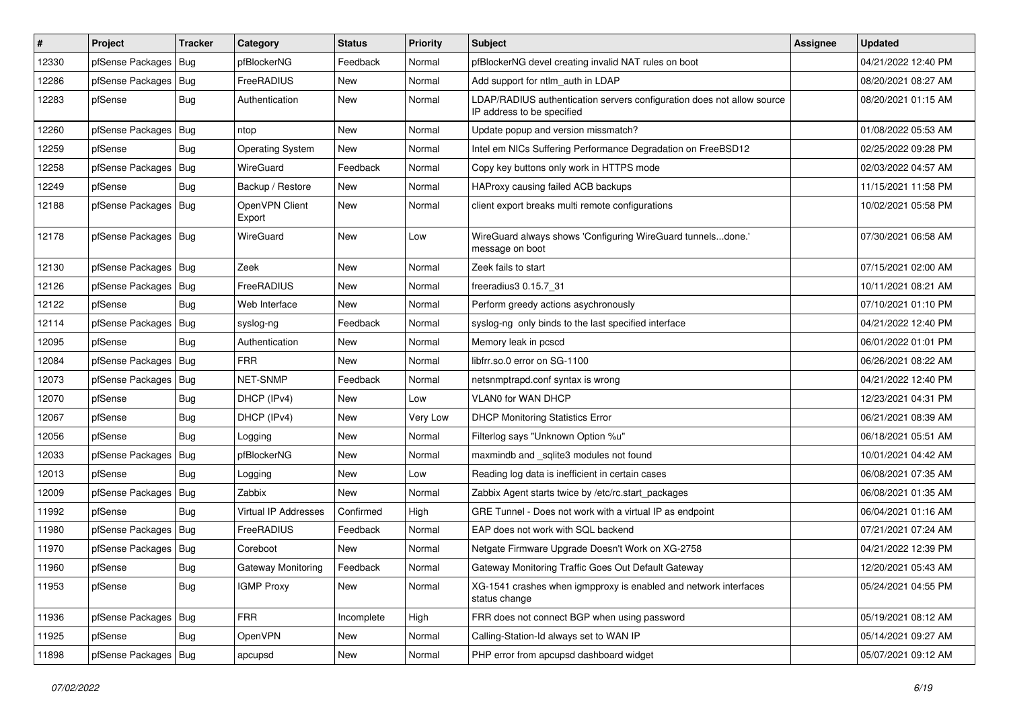| #     | Project                | <b>Tracker</b> | Category                    | <b>Status</b> | <b>Priority</b> | <b>Subject</b>                                                                                       | Assignee | <b>Updated</b>      |
|-------|------------------------|----------------|-----------------------------|---------------|-----------------|------------------------------------------------------------------------------------------------------|----------|---------------------|
| 12330 | pfSense Packages       | Bug            | pfBlockerNG                 | Feedback      | Normal          | pfBlockerNG devel creating invalid NAT rules on boot                                                 |          | 04/21/2022 12:40 PM |
| 12286 | pfSense Packages       | Bug            | FreeRADIUS                  | <b>New</b>    | Normal          | Add support for ntlm_auth in LDAP                                                                    |          | 08/20/2021 08:27 AM |
| 12283 | pfSense                | Bug            | Authentication              | New           | Normal          | LDAP/RADIUS authentication servers configuration does not allow source<br>IP address to be specified |          | 08/20/2021 01:15 AM |
| 12260 | pfSense Packages       | Bug            | ntop                        | New           | Normal          | Update popup and version missmatch?                                                                  |          | 01/08/2022 05:53 AM |
| 12259 | pfSense                | Bug            | <b>Operating System</b>     | New           | Normal          | Intel em NICs Suffering Performance Degradation on FreeBSD12                                         |          | 02/25/2022 09:28 PM |
| 12258 | pfSense Packages       | Bug            | WireGuard                   | Feedback      | Normal          | Copy key buttons only work in HTTPS mode                                                             |          | 02/03/2022 04:57 AM |
| 12249 | pfSense                | Bug            | Backup / Restore            | New           | Normal          | HAProxy causing failed ACB backups                                                                   |          | 11/15/2021 11:58 PM |
| 12188 | pfSense Packages       | Bug            | OpenVPN Client<br>Export    | New           | Normal          | client export breaks multi remote configurations                                                     |          | 10/02/2021 05:58 PM |
| 12178 | pfSense Packages   Bug |                | WireGuard                   | New           | Low             | WireGuard always shows 'Configuring WireGuard tunnelsdone.'<br>message on boot                       |          | 07/30/2021 06:58 AM |
| 12130 | pfSense Packages   Bug |                | Zeek                        | New           | Normal          | Zeek fails to start                                                                                  |          | 07/15/2021 02:00 AM |
| 12126 | pfSense Packages       | Bug            | FreeRADIUS                  | New           | Normal          | freeradius3 0.15.7 31                                                                                |          | 10/11/2021 08:21 AM |
| 12122 | pfSense                | Bug            | Web Interface               | New           | Normal          | Perform greedy actions asychronously                                                                 |          | 07/10/2021 01:10 PM |
| 12114 | pfSense Packages       | Bug            | syslog-ng                   | Feedback      | Normal          | syslog-ng only binds to the last specified interface                                                 |          | 04/21/2022 12:40 PM |
| 12095 | pfSense                | Bug            | Authentication              | New           | Normal          | Memory leak in pcscd                                                                                 |          | 06/01/2022 01:01 PM |
| 12084 | pfSense Packages       | Bug            | <b>FRR</b>                  | New           | Normal          | libfrr.so.0 error on SG-1100                                                                         |          | 06/26/2021 08:22 AM |
| 12073 | pfSense Packages       | <b>Bug</b>     | NET-SNMP                    | Feedback      | Normal          | netsnmptrapd.conf syntax is wrong                                                                    |          | 04/21/2022 12:40 PM |
| 12070 | pfSense                | Bug            | DHCP (IPv4)                 | New           | Low             | VLAN0 for WAN DHCP                                                                                   |          | 12/23/2021 04:31 PM |
| 12067 | pfSense                | Bug            | DHCP (IPv4)                 | <b>New</b>    | Very Low        | <b>DHCP Monitoring Statistics Error</b>                                                              |          | 06/21/2021 08:39 AM |
| 12056 | pfSense                | Bug            | Logging                     | New           | Normal          | Filterlog says "Unknown Option %u"                                                                   |          | 06/18/2021 05:51 AM |
| 12033 | pfSense Packages       | Bug            | pfBlockerNG                 | New           | Normal          | maxmindb and sqlite3 modules not found                                                               |          | 10/01/2021 04:42 AM |
| 12013 | pfSense                | Bug            | Logging                     | New           | Low             | Reading log data is inefficient in certain cases                                                     |          | 06/08/2021 07:35 AM |
| 12009 | pfSense Packages   Bug |                | Zabbix                      | New           | Normal          | Zabbix Agent starts twice by /etc/rc.start_packages                                                  |          | 06/08/2021 01:35 AM |
| 11992 | pfSense                | Bug            | <b>Virtual IP Addresses</b> | Confirmed     | High            | GRE Tunnel - Does not work with a virtual IP as endpoint                                             |          | 06/04/2021 01:16 AM |
| 11980 | pfSense Packages       | Bug            | FreeRADIUS                  | Feedback      | Normal          | EAP does not work with SQL backend                                                                   |          | 07/21/2021 07:24 AM |
| 11970 | pfSense Packages       | Bug            | Coreboot                    | New           | Normal          | Netgate Firmware Upgrade Doesn't Work on XG-2758                                                     |          | 04/21/2022 12:39 PM |
| 11960 | pfSense                | Bug            | Gateway Monitoring          | Feedback      | Normal          | Gateway Monitoring Traffic Goes Out Default Gateway                                                  |          | 12/20/2021 05:43 AM |
| 11953 | pfSense                | Bug            | <b>IGMP Proxy</b>           | New           | Normal          | XG-1541 crashes when igmpproxy is enabled and network interfaces<br>status change                    |          | 05/24/2021 04:55 PM |
| 11936 | pfSense Packages       | Bug            | <b>FRR</b>                  | Incomplete    | High            | FRR does not connect BGP when using password                                                         |          | 05/19/2021 08:12 AM |
| 11925 | pfSense                | Bug            | <b>OpenVPN</b>              | New           | Normal          | Calling-Station-Id always set to WAN IP                                                              |          | 05/14/2021 09:27 AM |
| 11898 | pfSense Packages   Bug |                | apcupsd                     | New           | Normal          | PHP error from apcupsd dashboard widget                                                              |          | 05/07/2021 09:12 AM |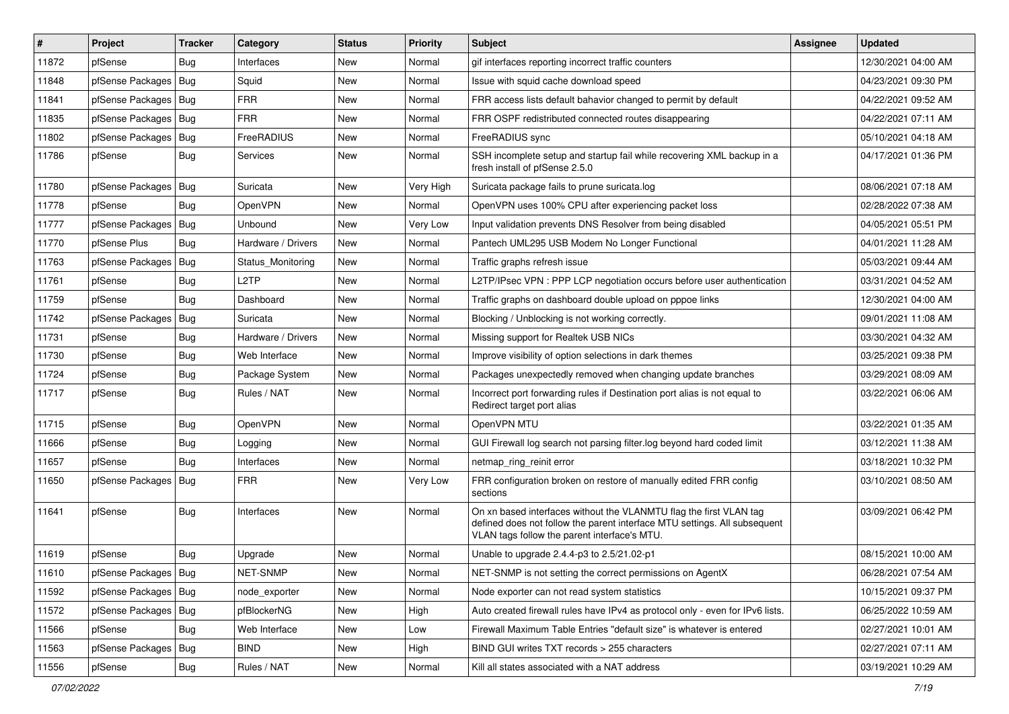| #     | Project                | <b>Tracker</b> | Category           | <b>Status</b> | <b>Priority</b> | <b>Subject</b>                                                                                                                                                                                  | <b>Assignee</b> | <b>Updated</b>      |
|-------|------------------------|----------------|--------------------|---------------|-----------------|-------------------------------------------------------------------------------------------------------------------------------------------------------------------------------------------------|-----------------|---------------------|
| 11872 | pfSense                | <b>Bug</b>     | Interfaces         | New           | Normal          | gif interfaces reporting incorrect traffic counters                                                                                                                                             |                 | 12/30/2021 04:00 AM |
| 11848 | pfSense Packages       | Bug            | Squid              | New           | Normal          | Issue with squid cache download speed                                                                                                                                                           |                 | 04/23/2021 09:30 PM |
| 11841 | pfSense Packages       | Bug            | <b>FRR</b>         | New           | Normal          | FRR access lists default bahavior changed to permit by default                                                                                                                                  |                 | 04/22/2021 09:52 AM |
| 11835 | pfSense Packages   Bug |                | <b>FRR</b>         | New           | Normal          | FRR OSPF redistributed connected routes disappearing                                                                                                                                            |                 | 04/22/2021 07:11 AM |
| 11802 | pfSense Packages       | Bug            | FreeRADIUS         | New           | Normal          | FreeRADIUS sync                                                                                                                                                                                 |                 | 05/10/2021 04:18 AM |
| 11786 | pfSense                | Bug            | Services           | New           | Normal          | SSH incomplete setup and startup fail while recovering XML backup in a<br>fresh install of pfSense 2.5.0                                                                                        |                 | 04/17/2021 01:36 PM |
| 11780 | pfSense Packages       | <b>Bug</b>     | Suricata           | <b>New</b>    | Very High       | Suricata package fails to prune suricata.log                                                                                                                                                    |                 | 08/06/2021 07:18 AM |
| 11778 | pfSense                | Bug            | OpenVPN            | New           | Normal          | OpenVPN uses 100% CPU after experiencing packet loss                                                                                                                                            |                 | 02/28/2022 07:38 AM |
| 11777 | pfSense Packages       | Bug            | Unbound            | <b>New</b>    | Very Low        | Input validation prevents DNS Resolver from being disabled                                                                                                                                      |                 | 04/05/2021 05:51 PM |
| 11770 | pfSense Plus           | Bug            | Hardware / Drivers | New           | Normal          | Pantech UML295 USB Modem No Longer Functional                                                                                                                                                   |                 | 04/01/2021 11:28 AM |
| 11763 | pfSense Packages   Bug |                | Status Monitoring  | New           | Normal          | Traffic graphs refresh issue                                                                                                                                                                    |                 | 05/03/2021 09:44 AM |
| 11761 | pfSense                | Bug            | L <sub>2</sub> TP  | New           | Normal          | L2TP/IPsec VPN : PPP LCP negotiation occurs before user authentication                                                                                                                          |                 | 03/31/2021 04:52 AM |
| 11759 | pfSense                | Bug            | Dashboard          | New           | Normal          | Traffic graphs on dashboard double upload on pppoe links                                                                                                                                        |                 | 12/30/2021 04:00 AM |
| 11742 | pfSense Packages       | <b>Bug</b>     | Suricata           | New           | Normal          | Blocking / Unblocking is not working correctly.                                                                                                                                                 |                 | 09/01/2021 11:08 AM |
| 11731 | pfSense                | <b>Bug</b>     | Hardware / Drivers | New           | Normal          | Missing support for Realtek USB NICs                                                                                                                                                            |                 | 03/30/2021 04:32 AM |
| 11730 | pfSense                | Bug            | Web Interface      | <b>New</b>    | Normal          | Improve visibility of option selections in dark themes                                                                                                                                          |                 | 03/25/2021 09:38 PM |
| 11724 | pfSense                | Bug            | Package System     | New           | Normal          | Packages unexpectedly removed when changing update branches                                                                                                                                     |                 | 03/29/2021 08:09 AM |
| 11717 | pfSense                | <b>Bug</b>     | Rules / NAT        | New           | Normal          | Incorrect port forwarding rules if Destination port alias is not equal to<br>Redirect target port alias                                                                                         |                 | 03/22/2021 06:06 AM |
| 11715 | pfSense                | Bug            | OpenVPN            | New           | Normal          | OpenVPN MTU                                                                                                                                                                                     |                 | 03/22/2021 01:35 AM |
| 11666 | pfSense                | <b>Bug</b>     | Logging            | New           | Normal          | GUI Firewall log search not parsing filter.log beyond hard coded limit                                                                                                                          |                 | 03/12/2021 11:38 AM |
| 11657 | pfSense                | Bug            | Interfaces         | New           | Normal          | netmap_ring_reinit error                                                                                                                                                                        |                 | 03/18/2021 10:32 PM |
| 11650 | pfSense Packages       | Bug            | <b>FRR</b>         | New           | Very Low        | FRR configuration broken on restore of manually edited FRR config<br>sections                                                                                                                   |                 | 03/10/2021 08:50 AM |
| 11641 | pfSense                | Bug            | Interfaces         | New           | Normal          | On xn based interfaces without the VLANMTU flag the first VLAN tag<br>defined does not follow the parent interface MTU settings. All subsequent<br>VLAN tags follow the parent interface's MTU. |                 | 03/09/2021 06:42 PM |
| 11619 | pfSense                | Bug            | Upgrade            | New           | Normal          | Unable to upgrade 2.4.4-p3 to 2.5/21.02-p1                                                                                                                                                      |                 | 08/15/2021 10:00 AM |
| 11610 | pfSense Packages   Bug |                | NET-SNMP           | New           | Normal          | NET-SNMP is not setting the correct permissions on AgentX                                                                                                                                       |                 | 06/28/2021 07:54 AM |
| 11592 | pfSense Packages   Bug |                | node exporter      | New           | Normal          | Node exporter can not read system statistics                                                                                                                                                    |                 | 10/15/2021 09:37 PM |
| 11572 | pfSense Packages       | Bug            | pfBlockerNG        | New           | High            | Auto created firewall rules have IPv4 as protocol only - even for IPv6 lists.                                                                                                                   |                 | 06/25/2022 10:59 AM |
| 11566 | pfSense                | Bug            | Web Interface      | New           | Low             | Firewall Maximum Table Entries "default size" is whatever is entered                                                                                                                            |                 | 02/27/2021 10:01 AM |
| 11563 | pfSense Packages       | Bug            | <b>BIND</b>        | New           | High            | BIND GUI writes TXT records > 255 characters                                                                                                                                                    |                 | 02/27/2021 07:11 AM |
| 11556 | pfSense                | Bug            | Rules / NAT        | New           | Normal          | Kill all states associated with a NAT address                                                                                                                                                   |                 | 03/19/2021 10:29 AM |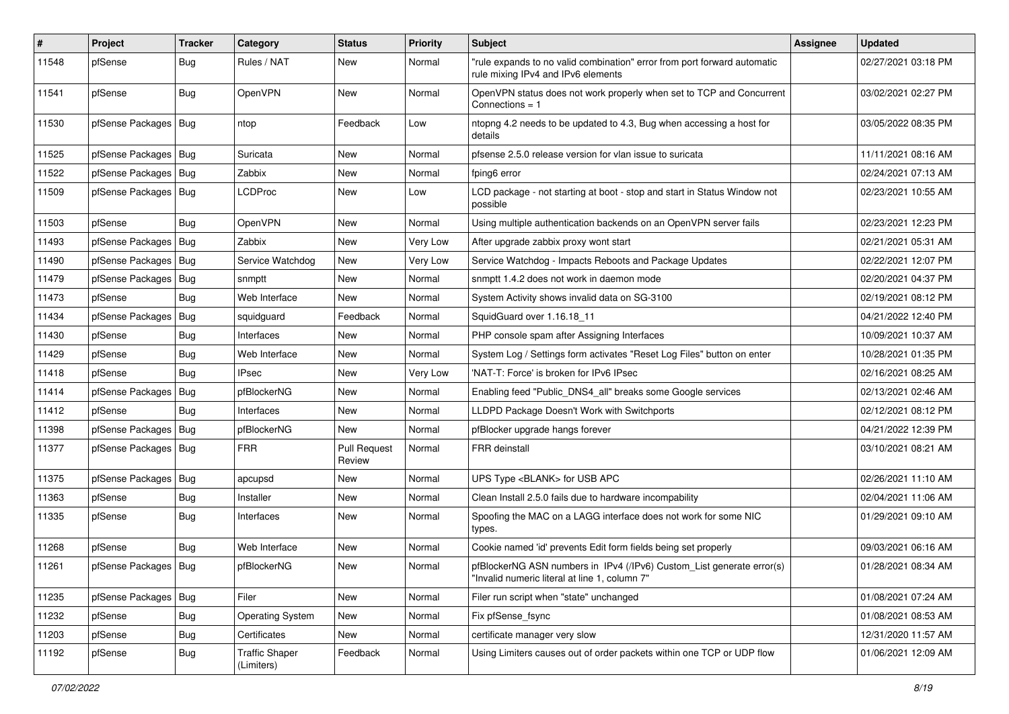| #     | Project                | Tracker    | Category                            | <b>Status</b>                 | <b>Priority</b> | <b>Subject</b>                                                                                                         | <b>Assignee</b> | <b>Updated</b>      |
|-------|------------------------|------------|-------------------------------------|-------------------------------|-----------------|------------------------------------------------------------------------------------------------------------------------|-----------------|---------------------|
| 11548 | pfSense                | Bug        | Rules / NAT                         | New                           | Normal          | "rule expands to no valid combination" error from port forward automatic<br>rule mixing IPv4 and IPv6 elements         |                 | 02/27/2021 03:18 PM |
| 11541 | pfSense                | Bug        | OpenVPN                             | New                           | Normal          | OpenVPN status does not work properly when set to TCP and Concurrent<br>Connections $= 1$                              |                 | 03/02/2021 02:27 PM |
| 11530 | pfSense Packages   Bug |            | ntop                                | Feedback                      | Low             | ntopng 4.2 needs to be updated to 4.3, Bug when accessing a host for<br>details                                        |                 | 03/05/2022 08:35 PM |
| 11525 | pfSense Packages   Bug |            | Suricata                            | New                           | Normal          | pfsense 2.5.0 release version for vlan issue to suricata                                                               |                 | 11/11/2021 08:16 AM |
| 11522 | pfSense Packages       | Bug        | Zabbix                              | New                           | Normal          | fping6 error                                                                                                           |                 | 02/24/2021 07:13 AM |
| 11509 | pfSense Packages   Bug |            | LCDProc                             | New                           | Low             | LCD package - not starting at boot - stop and start in Status Window not<br>possible                                   |                 | 02/23/2021 10:55 AM |
| 11503 | pfSense                | <b>Bug</b> | OpenVPN                             | New                           | Normal          | Using multiple authentication backends on an OpenVPN server fails                                                      |                 | 02/23/2021 12:23 PM |
| 11493 | pfSense Packages       | Bug        | Zabbix                              | New                           | Very Low        | After upgrade zabbix proxy wont start                                                                                  |                 | 02/21/2021 05:31 AM |
| 11490 | pfSense Packages       | Bug        | Service Watchdog                    | New                           | Very Low        | Service Watchdog - Impacts Reboots and Package Updates                                                                 |                 | 02/22/2021 12:07 PM |
| 11479 | pfSense Packages       | Bug        | snmptt                              | New                           | Normal          | snmptt 1.4.2 does not work in daemon mode                                                                              |                 | 02/20/2021 04:37 PM |
| 11473 | pfSense                | Bug        | Web Interface                       | New                           | Normal          | System Activity shows invalid data on SG-3100                                                                          |                 | 02/19/2021 08:12 PM |
| 11434 | pfSense Packages       | Bug        | squidguard                          | Feedback                      | Normal          | SquidGuard over 1.16.18 11                                                                                             |                 | 04/21/2022 12:40 PM |
| 11430 | pfSense                | <b>Bug</b> | Interfaces                          | New                           | Normal          | PHP console spam after Assigning Interfaces                                                                            |                 | 10/09/2021 10:37 AM |
| 11429 | pfSense                | <b>Bug</b> | Web Interface                       | New                           | Normal          | System Log / Settings form activates "Reset Log Files" button on enter                                                 |                 | 10/28/2021 01:35 PM |
| 11418 | pfSense                | Bug        | <b>IPsec</b>                        | New                           | Very Low        | 'NAT-T: Force' is broken for IPv6 IPsec                                                                                |                 | 02/16/2021 08:25 AM |
| 11414 | pfSense Packages       | Bug        | pfBlockerNG                         | New                           | Normal          | Enabling feed "Public DNS4 all" breaks some Google services                                                            |                 | 02/13/2021 02:46 AM |
| 11412 | pfSense                | <b>Bug</b> | Interfaces                          | New                           | Normal          | LLDPD Package Doesn't Work with Switchports                                                                            |                 | 02/12/2021 08:12 PM |
| 11398 | pfSense Packages       | Bug        | pfBlockerNG                         | New                           | Normal          | pfBlocker upgrade hangs forever                                                                                        |                 | 04/21/2022 12:39 PM |
| 11377 | pfSense Packages   Bug |            | FRR                                 | <b>Pull Request</b><br>Review | Normal          | FRR deinstall                                                                                                          |                 | 03/10/2021 08:21 AM |
| 11375 | pfSense Packages       | Bug        | apcupsd                             | New                           | Normal          | UPS Type <blank> for USB APC</blank>                                                                                   |                 | 02/26/2021 11:10 AM |
| 11363 | pfSense                | <b>Bug</b> | Installer                           | New                           | Normal          | Clean Install 2.5.0 fails due to hardware incompability                                                                |                 | 02/04/2021 11:06 AM |
| 11335 | pfSense                | Bug        | Interfaces                          | New                           | Normal          | Spoofing the MAC on a LAGG interface does not work for some NIC<br>types.                                              |                 | 01/29/2021 09:10 AM |
| 11268 | pfSense                | <b>Bug</b> | Web Interface                       | New                           | Normal          | Cookie named 'id' prevents Edit form fields being set properly                                                         |                 | 09/03/2021 06:16 AM |
| 11261 | pfSense Packages   Bug |            | pfBlockerNG                         | New                           | Normal          | pfBlockerNG ASN numbers in IPv4 (/IPv6) Custom List generate error(s)<br>"Invalid numeric literal at line 1, column 7" |                 | 01/28/2021 08:34 AM |
| 11235 | pfSense Packages       | Bug        | Filer                               | New                           | Normal          | Filer run script when "state" unchanged                                                                                |                 | 01/08/2021 07:24 AM |
| 11232 | pfSense                | Bug        | <b>Operating System</b>             | New                           | Normal          | Fix pfSense_fsync                                                                                                      |                 | 01/08/2021 08:53 AM |
| 11203 | pfSense                | <b>Bug</b> | Certificates                        | New                           | Normal          | certificate manager very slow                                                                                          |                 | 12/31/2020 11:57 AM |
| 11192 | pfSense                | <b>Bug</b> | <b>Traffic Shaper</b><br>(Limiters) | Feedback                      | Normal          | Using Limiters causes out of order packets within one TCP or UDP flow                                                  |                 | 01/06/2021 12:09 AM |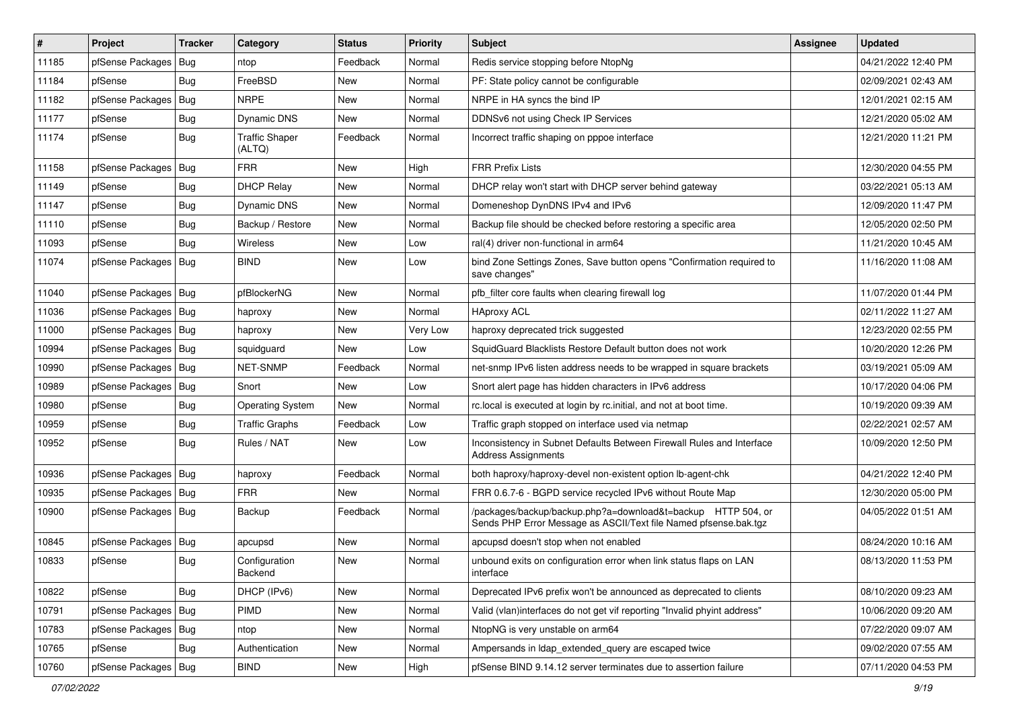| #     | Project                | <b>Tracker</b> | Category                        | <b>Status</b> | <b>Priority</b> | <b>Subject</b>                                                                                                                   | <b>Assignee</b> | Updated             |
|-------|------------------------|----------------|---------------------------------|---------------|-----------------|----------------------------------------------------------------------------------------------------------------------------------|-----------------|---------------------|
| 11185 | pfSense Packages       | Bug            | ntop                            | Feedback      | Normal          | Redis service stopping before NtopNg                                                                                             |                 | 04/21/2022 12:40 PM |
| 11184 | pfSense                | Bug            | FreeBSD                         | <b>New</b>    | Normal          | PF: State policy cannot be configurable                                                                                          |                 | 02/09/2021 02:43 AM |
| 11182 | pfSense Packages       | <b>Bug</b>     | <b>NRPE</b>                     | New           | Normal          | NRPE in HA syncs the bind IP                                                                                                     |                 | 12/01/2021 02:15 AM |
| 11177 | pfSense                | <b>Bug</b>     | Dynamic DNS                     | New           | Normal          | DDNSv6 not using Check IP Services                                                                                               |                 | 12/21/2020 05:02 AM |
| 11174 | pfSense                | Bug            | <b>Traffic Shaper</b><br>(ALTQ) | Feedback      | Normal          | Incorrect traffic shaping on pppoe interface                                                                                     |                 | 12/21/2020 11:21 PM |
| 11158 | pfSense Packages       | Bug            | <b>FRR</b>                      | New           | High            | <b>FRR Prefix Lists</b>                                                                                                          |                 | 12/30/2020 04:55 PM |
| 11149 | pfSense                | Bug            | <b>DHCP Relay</b>               | New           | Normal          | DHCP relay won't start with DHCP server behind gateway                                                                           |                 | 03/22/2021 05:13 AM |
| 11147 | pfSense                | Bug            | Dynamic DNS                     | New           | Normal          | Domeneshop DynDNS IPv4 and IPv6                                                                                                  |                 | 12/09/2020 11:47 PM |
| 11110 | pfSense                | Bug            | Backup / Restore                | New           | Normal          | Backup file should be checked before restoring a specific area                                                                   |                 | 12/05/2020 02:50 PM |
| 11093 | pfSense                | Bug            | Wireless                        | New           | Low             | ral(4) driver non-functional in arm64                                                                                            |                 | 11/21/2020 10:45 AM |
| 11074 | pfSense Packages   Bug |                | <b>BIND</b>                     | New           | Low             | bind Zone Settings Zones, Save button opens "Confirmation required to<br>save changes"                                           |                 | 11/16/2020 11:08 AM |
| 11040 | pfSense Packages       | Bug            | pfBlockerNG                     | New           | Normal          | pfb filter core faults when clearing firewall log                                                                                |                 | 11/07/2020 01:44 PM |
| 11036 | pfSense Packages       | Bug            | haproxy                         | New           | Normal          | <b>HAproxy ACL</b>                                                                                                               |                 | 02/11/2022 11:27 AM |
| 11000 | pfSense Packages       | Bug            | haproxy                         | New           | Very Low        | haproxy deprecated trick suggested                                                                                               |                 | 12/23/2020 02:55 PM |
| 10994 | pfSense Packages   Bug |                | squidguard                      | New           | Low             | SquidGuard Blacklists Restore Default button does not work                                                                       |                 | 10/20/2020 12:26 PM |
| 10990 | pfSense Packages       | Bug            | NET-SNMP                        | Feedback      | Normal          | net-snmp IPv6 listen address needs to be wrapped in square brackets                                                              |                 | 03/19/2021 05:09 AM |
| 10989 | pfSense Packages       | Bug            | Snort                           | New           | Low             | Snort alert page has hidden characters in IPv6 address                                                                           |                 | 10/17/2020 04:06 PM |
| 10980 | pfSense                | Bug            | <b>Operating System</b>         | New           | Normal          | rc.local is executed at login by rc.initial, and not at boot time.                                                               |                 | 10/19/2020 09:39 AM |
| 10959 | pfSense                | <b>Bug</b>     | <b>Traffic Graphs</b>           | Feedback      | Low             | Traffic graph stopped on interface used via netmap                                                                               |                 | 02/22/2021 02:57 AM |
| 10952 | pfSense                | Bug            | Rules / NAT                     | New           | Low             | Inconsistency in Subnet Defaults Between Firewall Rules and Interface<br><b>Address Assignments</b>                              |                 | 10/09/2020 12:50 PM |
| 10936 | pfSense Packages       | Bug            | haproxy                         | Feedback      | Normal          | both haproxy/haproxy-devel non-existent option lb-agent-chk                                                                      |                 | 04/21/2022 12:40 PM |
| 10935 | pfSense Packages   Bug |                | <b>FRR</b>                      | New           | Normal          | FRR 0.6.7-6 - BGPD service recycled IPv6 without Route Map                                                                       |                 | 12/30/2020 05:00 PM |
| 10900 | pfSense Packages   Bug |                | Backup                          | Feedback      | Normal          | /packages/backup/backup.php?a=download&t=backup HTTP 504, or<br>Sends PHP Error Message as ASCII/Text file Named pfsense.bak.tgz |                 | 04/05/2022 01:51 AM |
| 10845 | pfSense Packages   Bug |                | apcupsd                         | New           | Normal          | apcupsd doesn't stop when not enabled                                                                                            |                 | 08/24/2020 10:16 AM |
| 10833 | pfSense                | Bug            | Configuration<br>Backend        | New           | Normal          | unbound exits on configuration error when link status flaps on LAN<br>interface                                                  |                 | 08/13/2020 11:53 PM |
| 10822 | pfSense                | <b>Bug</b>     | DHCP (IPv6)                     | New           | Normal          | Deprecated IPv6 prefix won't be announced as deprecated to clients                                                               |                 | 08/10/2020 09:23 AM |
| 10791 | pfSense Packages       | Bug            | PIMD                            | New           | Normal          | Valid (vlan)interfaces do not get vif reporting "Invalid phyint address"                                                         |                 | 10/06/2020 09:20 AM |
| 10783 | pfSense Packages   Bug |                | ntop                            | New           | Normal          | NtopNG is very unstable on arm64                                                                                                 |                 | 07/22/2020 09:07 AM |
| 10765 | pfSense                | <b>Bug</b>     | Authentication                  | New           | Normal          | Ampersands in Idap extended query are escaped twice                                                                              |                 | 09/02/2020 07:55 AM |
| 10760 | pfSense Packages       | Bug            | <b>BIND</b>                     | New           | High            | pfSense BIND 9.14.12 server terminates due to assertion failure                                                                  |                 | 07/11/2020 04:53 PM |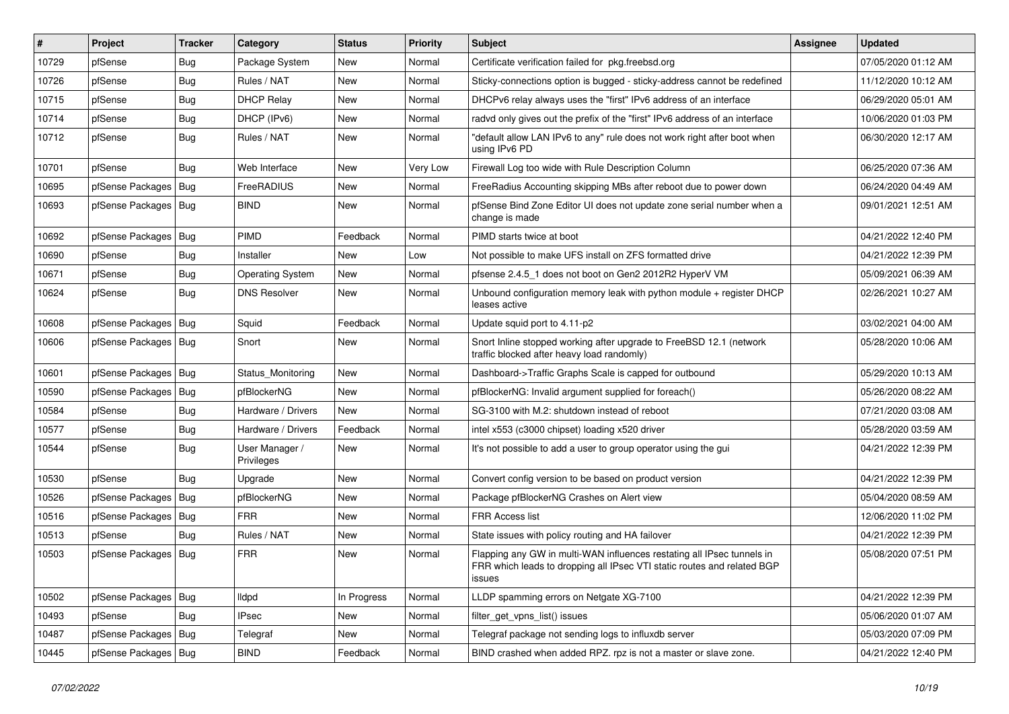| #     | Project                | <b>Tracker</b> | Category                     | <b>Status</b> | <b>Priority</b> | <b>Subject</b>                                                                                                                                              | <b>Assignee</b> | <b>Updated</b>      |
|-------|------------------------|----------------|------------------------------|---------------|-----------------|-------------------------------------------------------------------------------------------------------------------------------------------------------------|-----------------|---------------------|
| 10729 | pfSense                | Bug            | Package System               | New           | Normal          | Certificate verification failed for pkg.freebsd.org                                                                                                         |                 | 07/05/2020 01:12 AM |
| 10726 | pfSense                | Bug            | Rules / NAT                  | <b>New</b>    | Normal          | Sticky-connections option is bugged - sticky-address cannot be redefined                                                                                    |                 | 11/12/2020 10:12 AM |
| 10715 | pfSense                | <b>Bug</b>     | <b>DHCP Relay</b>            | New           | Normal          | DHCPv6 relay always uses the "first" IPv6 address of an interface                                                                                           |                 | 06/29/2020 05:01 AM |
| 10714 | pfSense                | <b>Bug</b>     | DHCP (IPv6)                  | New           | Normal          | radyd only gives out the prefix of the "first" IPv6 address of an interface                                                                                 |                 | 10/06/2020 01:03 PM |
| 10712 | pfSense                | Bug            | Rules / NAT                  | New           | Normal          | "default allow LAN IPv6 to any" rule does not work right after boot when<br>using IPv6 PD                                                                   |                 | 06/30/2020 12:17 AM |
| 10701 | pfSense                | Bug            | Web Interface                | <b>New</b>    | Very Low        | Firewall Log too wide with Rule Description Column                                                                                                          |                 | 06/25/2020 07:36 AM |
| 10695 | pfSense Packages   Bug |                | FreeRADIUS                   | New           | Normal          | FreeRadius Accounting skipping MBs after reboot due to power down                                                                                           |                 | 06/24/2020 04:49 AM |
| 10693 | pfSense Packages   Bug |                | <b>BIND</b>                  | New           | Normal          | pfSense Bind Zone Editor UI does not update zone serial number when a<br>change is made                                                                     |                 | 09/01/2021 12:51 AM |
| 10692 | pfSense Packages   Bug |                | PIMD                         | Feedback      | Normal          | PIMD starts twice at boot                                                                                                                                   |                 | 04/21/2022 12:40 PM |
| 10690 | pfSense                | Bug            | Installer                    | New           | Low             | Not possible to make UFS install on ZFS formatted drive                                                                                                     |                 | 04/21/2022 12:39 PM |
| 10671 | pfSense                | Bug            | Operating System             | <b>New</b>    | Normal          | pfsense 2.4.5_1 does not boot on Gen2 2012R2 HyperV VM                                                                                                      |                 | 05/09/2021 06:39 AM |
| 10624 | pfSense                | <b>Bug</b>     | <b>DNS Resolver</b>          | New           | Normal          | Unbound configuration memory leak with python module $+$ register DHCP<br>leases active                                                                     |                 | 02/26/2021 10:27 AM |
| 10608 | pfSense Packages   Bug |                | Squid                        | Feedback      | Normal          | Update squid port to 4.11-p2                                                                                                                                |                 | 03/02/2021 04:00 AM |
| 10606 | pfSense Packages   Bug |                | Snort                        | New           | Normal          | Snort Inline stopped working after upgrade to FreeBSD 12.1 (network<br>traffic blocked after heavy load randomly)                                           |                 | 05/28/2020 10:06 AM |
| 10601 | pfSense Packages   Bug |                | Status Monitoring            | New           | Normal          | Dashboard->Traffic Graphs Scale is capped for outbound                                                                                                      |                 | 05/29/2020 10:13 AM |
| 10590 | pfSense Packages   Bug |                | pfBlockerNG                  | <b>New</b>    | Normal          | pfBlockerNG: Invalid argument supplied for foreach()                                                                                                        |                 | 05/26/2020 08:22 AM |
| 10584 | pfSense                | <b>Bug</b>     | Hardware / Drivers           | New           | Normal          | SG-3100 with M.2: shutdown instead of reboot                                                                                                                |                 | 07/21/2020 03:08 AM |
| 10577 | pfSense                | <b>Bug</b>     | Hardware / Drivers           | Feedback      | Normal          | intel x553 (c3000 chipset) loading x520 driver                                                                                                              |                 | 05/28/2020 03:59 AM |
| 10544 | pfSense                | Bug            | User Manager /<br>Privileges | New           | Normal          | It's not possible to add a user to group operator using the gui                                                                                             |                 | 04/21/2022 12:39 PM |
| 10530 | pfSense                | Bug            | Upgrade                      | New           | Normal          | Convert config version to be based on product version                                                                                                       |                 | 04/21/2022 12:39 PM |
| 10526 | pfSense Packages   Bug |                | pfBlockerNG                  | New           | Normal          | Package pfBlockerNG Crashes on Alert view                                                                                                                   |                 | 05/04/2020 08:59 AM |
| 10516 | pfSense Packages   Bug |                | <b>FRR</b>                   | New           | Normal          | <b>FRR Access list</b>                                                                                                                                      |                 | 12/06/2020 11:02 PM |
| 10513 | pfSense                | Bug            | Rules / NAT                  | New           | Normal          | State issues with policy routing and HA failover                                                                                                            |                 | 04/21/2022 12:39 PM |
| 10503 | pfSense Packages   Bug |                | <b>FRR</b>                   | New           | Normal          | Flapping any GW in multi-WAN influences restating all IPsec tunnels in<br>FRR which leads to dropping all IPsec VTI static routes and related BGP<br>issues |                 | 05/08/2020 07:51 PM |
| 10502 | pfSense Packages   Bug |                | lldpd                        | In Progress   | Normal          | LLDP spamming errors on Netgate XG-7100                                                                                                                     |                 | 04/21/2022 12:39 PM |
| 10493 | pfSense                | Bug            | <b>IPsec</b>                 | New           | Normal          | filter get vpns list() issues                                                                                                                               |                 | 05/06/2020 01:07 AM |
| 10487 | pfSense Packages   Bug |                | Telegraf                     | New           | Normal          | Telegraf package not sending logs to influxdb server                                                                                                        |                 | 05/03/2020 07:09 PM |
| 10445 | pfSense Packages   Bug |                | <b>BIND</b>                  | Feedback      | Normal          | BIND crashed when added RPZ. rpz is not a master or slave zone.                                                                                             |                 | 04/21/2022 12:40 PM |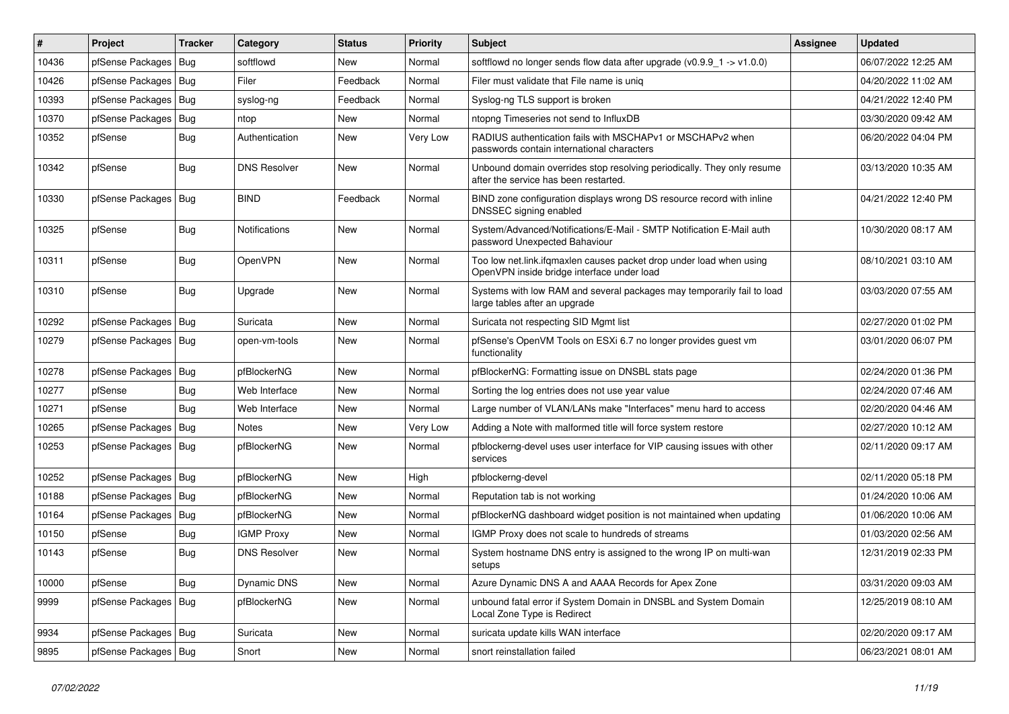| #     | Project                | Tracker    | Category             | <b>Status</b> | <b>Priority</b> | <b>Subject</b>                                                                                                    | <b>Assignee</b> | <b>Updated</b>      |
|-------|------------------------|------------|----------------------|---------------|-----------------|-------------------------------------------------------------------------------------------------------------------|-----------------|---------------------|
| 10436 | pfSense Packages   Bug |            | softflowd            | New           | Normal          | softflowd no longer sends flow data after upgrade ( $v0.9.9 - 1$ -> $v1.0.0$ )                                    |                 | 06/07/2022 12:25 AM |
| 10426 | pfSense Packages   Bug |            | Filer                | Feedback      | Normal          | Filer must validate that File name is unig                                                                        |                 | 04/20/2022 11:02 AM |
| 10393 | pfSense Packages   Bug |            | syslog-ng            | Feedback      | Normal          | Syslog-ng TLS support is broken                                                                                   |                 | 04/21/2022 12:40 PM |
| 10370 | pfSense Packages   Bug |            | ntop                 | New           | Normal          | ntopng Timeseries not send to InfluxDB                                                                            |                 | 03/30/2020 09:42 AM |
| 10352 | pfSense                | Bug        | Authentication       | New           | Very Low        | RADIUS authentication fails with MSCHAPv1 or MSCHAPv2 when<br>passwords contain international characters          |                 | 06/20/2022 04:04 PM |
| 10342 | pfSense                | Bug        | <b>DNS Resolver</b>  | New           | Normal          | Unbound domain overrides stop resolving periodically. They only resume<br>after the service has been restarted.   |                 | 03/13/2020 10:35 AM |
| 10330 | pfSense Packages   Bug |            | <b>BIND</b>          | Feedback      | Normal          | BIND zone configuration displays wrong DS resource record with inline<br>DNSSEC signing enabled                   |                 | 04/21/2022 12:40 PM |
| 10325 | pfSense                | Bug        | <b>Notifications</b> | <b>New</b>    | Normal          | System/Advanced/Notifications/E-Mail - SMTP Notification E-Mail auth<br>password Unexpected Bahaviour             |                 | 10/30/2020 08:17 AM |
| 10311 | pfSense                | Bug        | OpenVPN              | New           | Normal          | Too low net.link.ifqmaxlen causes packet drop under load when using<br>OpenVPN inside bridge interface under load |                 | 08/10/2021 03:10 AM |
| 10310 | pfSense                | <b>Bug</b> | Upgrade              | New           | Normal          | Systems with low RAM and several packages may temporarily fail to load<br>large tables after an upgrade           |                 | 03/03/2020 07:55 AM |
| 10292 | pfSense Packages   Bug |            | Suricata             | New           | Normal          | Suricata not respecting SID Mgmt list                                                                             |                 | 02/27/2020 01:02 PM |
| 10279 | pfSense Packages   Bug |            | open-vm-tools        | New           | Normal          | pfSense's OpenVM Tools on ESXi 6.7 no longer provides guest vm<br>functionality                                   |                 | 03/01/2020 06:07 PM |
| 10278 | pfSense Packages   Bug |            | pfBlockerNG          | <b>New</b>    | Normal          | pfBlockerNG: Formatting issue on DNSBL stats page                                                                 |                 | 02/24/2020 01:36 PM |
| 10277 | pfSense                | <b>Bug</b> | Web Interface        | New           | Normal          | Sorting the log entries does not use year value                                                                   |                 | 02/24/2020 07:46 AM |
| 10271 | pfSense                | Bug        | Web Interface        | New           | Normal          | Large number of VLAN/LANs make "Interfaces" menu hard to access                                                   |                 | 02/20/2020 04:46 AM |
| 10265 | pfSense Packages   Bug |            | <b>Notes</b>         | New           | Very Low        | Adding a Note with malformed title will force system restore                                                      |                 | 02/27/2020 10:12 AM |
| 10253 | pfSense Packages   Bug |            | pfBlockerNG          | New           | Normal          | pfblockerng-devel uses user interface for VIP causing issues with other<br>services                               |                 | 02/11/2020 09:17 AM |
| 10252 | pfSense Packages   Bug |            | pfBlockerNG          | <b>New</b>    | High            | pfblockerng-devel                                                                                                 |                 | 02/11/2020 05:18 PM |
| 10188 | pfSense Packages   Bug |            | pfBlockerNG          | <b>New</b>    | Normal          | Reputation tab is not working                                                                                     |                 | 01/24/2020 10:06 AM |
| 10164 | pfSense Packages   Bug |            | pfBlockerNG          | New           | Normal          | pfBlockerNG dashboard widget position is not maintained when updating                                             |                 | 01/06/2020 10:06 AM |
| 10150 | pfSense                | <b>Bug</b> | <b>IGMP Proxy</b>    | New           | Normal          | IGMP Proxy does not scale to hundreds of streams                                                                  |                 | 01/03/2020 02:56 AM |
| 10143 | pfSense                | Bug        | <b>DNS Resolver</b>  | New           | Normal          | System hostname DNS entry is assigned to the wrong IP on multi-wan<br>setups                                      |                 | 12/31/2019 02:33 PM |
| 10000 | pfSense                | Bug        | Dynamic DNS          | New           | Normal          | Azure Dynamic DNS A and AAAA Records for Apex Zone                                                                |                 | 03/31/2020 09:03 AM |
| 9999  | pfSense Packages   Bug |            | pfBlockerNG          | New           | Normal          | unbound fatal error if System Domain in DNSBL and System Domain<br>Local Zone Type is Redirect                    |                 | 12/25/2019 08:10 AM |
| 9934  | pfSense Packages   Bug |            | Suricata             | New           | Normal          | suricata update kills WAN interface                                                                               |                 | 02/20/2020 09:17 AM |
| 9895  | pfSense Packages   Bug |            | Snort                | New           | Normal          | snort reinstallation failed                                                                                       |                 | 06/23/2021 08:01 AM |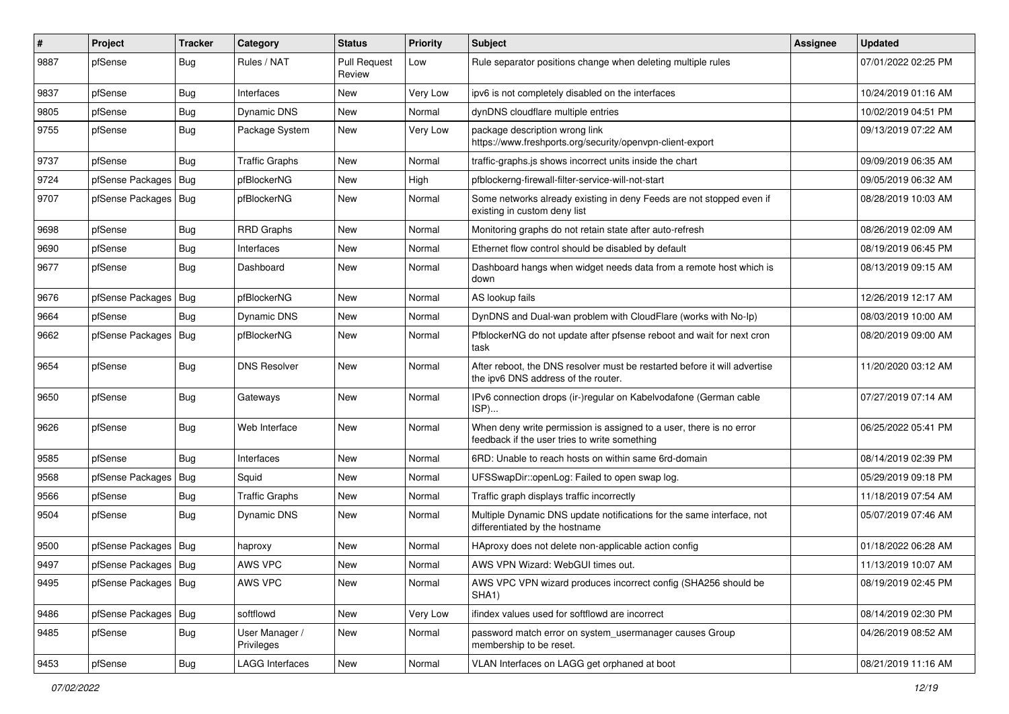| #    | Project                | Tracker    | Category                     | <b>Status</b>                 | <b>Priority</b> | <b>Subject</b>                                                                                                       | Assignee | <b>Updated</b>      |
|------|------------------------|------------|------------------------------|-------------------------------|-----------------|----------------------------------------------------------------------------------------------------------------------|----------|---------------------|
| 9887 | pfSense                | <b>Bug</b> | Rules / NAT                  | <b>Pull Request</b><br>Review | Low             | Rule separator positions change when deleting multiple rules                                                         |          | 07/01/2022 02:25 PM |
| 9837 | pfSense                | <b>Bug</b> | Interfaces                   | New                           | Very Low        | ipv6 is not completely disabled on the interfaces                                                                    |          | 10/24/2019 01:16 AM |
| 9805 | pfSense                | <b>Bug</b> | <b>Dynamic DNS</b>           | New                           | Normal          | dynDNS cloudflare multiple entries                                                                                   |          | 10/02/2019 04:51 PM |
| 9755 | pfSense                | <b>Bug</b> | Package System               | New                           | Very Low        | package description wrong link<br>https://www.freshports.org/security/openvpn-client-export                          |          | 09/13/2019 07:22 AM |
| 9737 | pfSense                | <b>Bug</b> | <b>Traffic Graphs</b>        | New                           | Normal          | traffic-graphs.js shows incorrect units inside the chart                                                             |          | 09/09/2019 06:35 AM |
| 9724 | pfSense Packages       | Bug        | pfBlockerNG                  | New                           | High            | pfblockerng-firewall-filter-service-will-not-start                                                                   |          | 09/05/2019 06:32 AM |
| 9707 | pfSense Packages   Bug |            | pfBlockerNG                  | New                           | Normal          | Some networks already existing in deny Feeds are not stopped even if<br>existing in custom deny list                 |          | 08/28/2019 10:03 AM |
| 9698 | pfSense                | Bug        | <b>RRD Graphs</b>            | New                           | Normal          | Monitoring graphs do not retain state after auto-refresh                                                             |          | 08/26/2019 02:09 AM |
| 9690 | pfSense                | <b>Bug</b> | Interfaces                   | New                           | Normal          | Ethernet flow control should be disabled by default                                                                  |          | 08/19/2019 06:45 PM |
| 9677 | pfSense                | <b>Bug</b> | Dashboard                    | New                           | Normal          | Dashboard hangs when widget needs data from a remote host which is<br>down                                           |          | 08/13/2019 09:15 AM |
| 9676 | pfSense Packages   Bug |            | pfBlockerNG                  | <b>New</b>                    | Normal          | AS lookup fails                                                                                                      |          | 12/26/2019 12:17 AM |
| 9664 | pfSense                | <b>Bug</b> | <b>Dynamic DNS</b>           | New                           | Normal          | DynDNS and Dual-wan problem with CloudFlare (works with No-Ip)                                                       |          | 08/03/2019 10:00 AM |
| 9662 | pfSense Packages       | Bug        | pfBlockerNG                  | New                           | Normal          | PfblockerNG do not update after pfsense reboot and wait for next cron<br>task                                        |          | 08/20/2019 09:00 AM |
| 9654 | pfSense                | <b>Bug</b> | <b>DNS Resolver</b>          | New                           | Normal          | After reboot, the DNS resolver must be restarted before it will advertise<br>the ipv6 DNS address of the router.     |          | 11/20/2020 03:12 AM |
| 9650 | pfSense                | Bug        | Gateways                     | <b>New</b>                    | Normal          | IPv6 connection drops (ir-)regular on Kabelvodafone (German cable<br>$ISP)$                                          |          | 07/27/2019 07:14 AM |
| 9626 | pfSense                | <b>Bug</b> | Web Interface                | <b>New</b>                    | Normal          | When deny write permission is assigned to a user, there is no error<br>feedback if the user tries to write something |          | 06/25/2022 05:41 PM |
| 9585 | pfSense                | <b>Bug</b> | Interfaces                   | New                           | Normal          | 6RD: Unable to reach hosts on within same 6rd-domain                                                                 |          | 08/14/2019 02:39 PM |
| 9568 | pfSense Packages   Bug |            | Squid                        | New                           | Normal          | UFSSwapDir::openLog: Failed to open swap log.                                                                        |          | 05/29/2019 09:18 PM |
| 9566 | pfSense                | <b>Bug</b> | <b>Traffic Graphs</b>        | New                           | Normal          | Traffic graph displays traffic incorrectly                                                                           |          | 11/18/2019 07:54 AM |
| 9504 | pfSense                | <b>Bug</b> | Dynamic DNS                  | New                           | Normal          | Multiple Dynamic DNS update notifications for the same interface, not<br>differentiated by the hostname              |          | 05/07/2019 07:46 AM |
| 9500 | pfSense Packages   Bug |            | haproxy                      | New                           | Normal          | HAproxy does not delete non-applicable action config                                                                 |          | 01/18/2022 06:28 AM |
| 9497 | pfSense Packages   Bug |            | AWS VPC                      | New                           | Normal          | AWS VPN Wizard: WebGUI times out.                                                                                    |          | 11/13/2019 10:07 AM |
| 9495 | pfSense Packages   Bug |            | AWS VPC                      | New                           | Normal          | AWS VPC VPN wizard produces incorrect config (SHA256 should be<br>SHA1)                                              |          | 08/19/2019 02:45 PM |
| 9486 | pfSense Packages   Bug |            | softflowd                    | New                           | Very Low        | ifindex values used for softflowd are incorrect                                                                      |          | 08/14/2019 02:30 PM |
| 9485 | pfSense                | Bug        | User Manager /<br>Privileges | New                           | Normal          | password match error on system_usermanager causes Group<br>membership to be reset.                                   |          | 04/26/2019 08:52 AM |
| 9453 | pfSense                | Bug        | <b>LAGG Interfaces</b>       | New                           | Normal          | VLAN Interfaces on LAGG get orphaned at boot                                                                         |          | 08/21/2019 11:16 AM |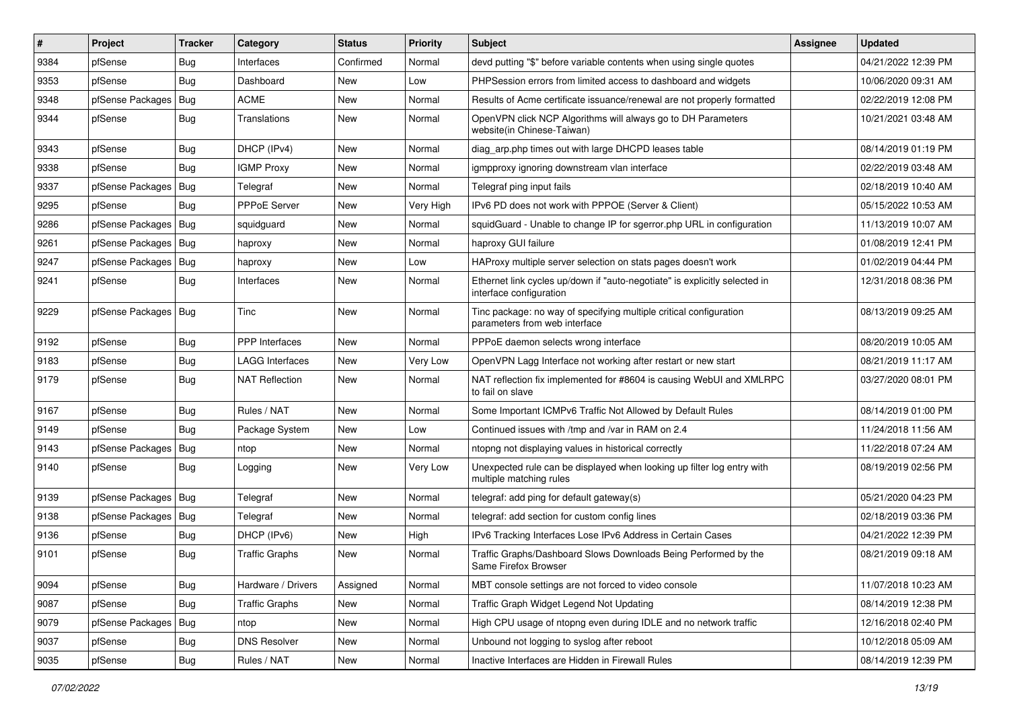| $\vert$ # | Project                | <b>Tracker</b> | Category               | <b>Status</b> | <b>Priority</b> | <b>Subject</b>                                                                                        | <b>Assignee</b> | <b>Updated</b>      |
|-----------|------------------------|----------------|------------------------|---------------|-----------------|-------------------------------------------------------------------------------------------------------|-----------------|---------------------|
| 9384      | pfSense                | <b>Bug</b>     | Interfaces             | Confirmed     | Normal          | devd putting "\$" before variable contents when using single quotes                                   |                 | 04/21/2022 12:39 PM |
| 9353      | pfSense                | Bug            | Dashboard              | <b>New</b>    | Low             | PHPSession errors from limited access to dashboard and widgets                                        |                 | 10/06/2020 09:31 AM |
| 9348      | pfSense Packages       | <b>Bug</b>     | <b>ACME</b>            | New           | Normal          | Results of Acme certificate issuance/renewal are not properly formatted                               |                 | 02/22/2019 12:08 PM |
| 9344      | pfSense                | <b>Bug</b>     | Translations           | New           | Normal          | OpenVPN click NCP Algorithms will always go to DH Parameters<br>website(in Chinese-Taiwan)            |                 | 10/21/2021 03:48 AM |
| 9343      | pfSense                | <b>Bug</b>     | DHCP (IPv4)            | New           | Normal          | diag arp.php times out with large DHCPD leases table                                                  |                 | 08/14/2019 01:19 PM |
| 9338      | pfSense                | Bug            | <b>IGMP Proxy</b>      | New           | Normal          | igmpproxy ignoring downstream vlan interface                                                          |                 | 02/22/2019 03:48 AM |
| 9337      | pfSense Packages       | Bug            | Telegraf               | New           | Normal          | Telegraf ping input fails                                                                             |                 | 02/18/2019 10:40 AM |
| 9295      | pfSense                | <b>Bug</b>     | PPPoE Server           | New           | Very High       | IPv6 PD does not work with PPPOE (Server & Client)                                                    |                 | 05/15/2022 10:53 AM |
| 9286      | pfSense Packages       | Bug            | squidguard             | New           | Normal          | squidGuard - Unable to change IP for sgerror.php URL in configuration                                 |                 | 11/13/2019 10:07 AM |
| 9261      | pfSense Packages       | Bug            | haproxy                | New           | Normal          | haproxy GUI failure                                                                                   |                 | 01/08/2019 12:41 PM |
| 9247      | pfSense Packages       | Bug            | haproxy                | New           | Low             | HAProxy multiple server selection on stats pages doesn't work                                         |                 | 01/02/2019 04:44 PM |
| 9241      | pfSense                | <b>Bug</b>     | Interfaces             | New           | Normal          | Ethernet link cycles up/down if "auto-negotiate" is explicitly selected in<br>interface configuration |                 | 12/31/2018 08:36 PM |
| 9229      | pfSense Packages   Bug |                | <b>Tinc</b>            | New           | Normal          | Tinc package: no way of specifying multiple critical configuration<br>parameters from web interface   |                 | 08/13/2019 09:25 AM |
| 9192      | pfSense                | <b>Bug</b>     | PPP Interfaces         | New           | Normal          | PPPoE daemon selects wrong interface                                                                  |                 | 08/20/2019 10:05 AM |
| 9183      | pfSense                | <b>Bug</b>     | <b>LAGG Interfaces</b> | New           | Very Low        | OpenVPN Lagg Interface not working after restart or new start                                         |                 | 08/21/2019 11:17 AM |
| 9179      | pfSense                | <b>Bug</b>     | NAT Reflection         | New           | Normal          | NAT reflection fix implemented for #8604 is causing WebUI and XMLRPC<br>to fail on slave              |                 | 03/27/2020 08:01 PM |
| 9167      | pfSense                | <b>Bug</b>     | Rules / NAT            | New           | Normal          | Some Important ICMPv6 Traffic Not Allowed by Default Rules                                            |                 | 08/14/2019 01:00 PM |
| 9149      | pfSense                | Bug            | Package System         | New           | Low             | Continued issues with /tmp and /var in RAM on 2.4                                                     |                 | 11/24/2018 11:56 AM |
| 9143      | pfSense Packages       | <b>Bug</b>     | ntop                   | New           | Normal          | ntopng not displaying values in historical correctly                                                  |                 | 11/22/2018 07:24 AM |
| 9140      | pfSense                | Bug            | Logging                | New           | Very Low        | Unexpected rule can be displayed when looking up filter log entry with<br>multiple matching rules     |                 | 08/19/2019 02:56 PM |
| 9139      | pfSense Packages       | Bug            | Telegraf               | New           | Normal          | telegraf: add ping for default gateway(s)                                                             |                 | 05/21/2020 04:23 PM |
| 9138      | pfSense Packages       | Bug            | Telegraf               | New           | Normal          | telegraf: add section for custom config lines                                                         |                 | 02/18/2019 03:36 PM |
| 9136      | pfSense                | Bug            | DHCP (IPv6)            | New           | High            | IPv6 Tracking Interfaces Lose IPv6 Address in Certain Cases                                           |                 | 04/21/2022 12:39 PM |
| 9101      | pfSense                | <b>Bug</b>     | <b>Traffic Graphs</b>  | New           | Normal          | Traffic Graphs/Dashboard Slows Downloads Being Performed by the<br>Same Firefox Browser               |                 | 08/21/2019 09:18 AM |
| 9094      | pfSense                | Bug            | Hardware / Drivers     | Assigned      | Normal          | MBT console settings are not forced to video console                                                  |                 | 11/07/2018 10:23 AM |
| 9087      | pfSense                | <b>Bug</b>     | <b>Traffic Graphs</b>  | New           | Normal          | Traffic Graph Widget Legend Not Updating                                                              |                 | 08/14/2019 12:38 PM |
| 9079      | pfSense Packages       | <b>Bug</b>     | ntop                   | New           | Normal          | High CPU usage of ntopng even during IDLE and no network traffic                                      |                 | 12/16/2018 02:40 PM |
| 9037      | pfSense                | <b>Bug</b>     | <b>DNS Resolver</b>    | New           | Normal          | Unbound not logging to syslog after reboot                                                            |                 | 10/12/2018 05:09 AM |
| 9035      | pfSense                | Bug            | Rules / NAT            | New           | Normal          | Inactive Interfaces are Hidden in Firewall Rules                                                      |                 | 08/14/2019 12:39 PM |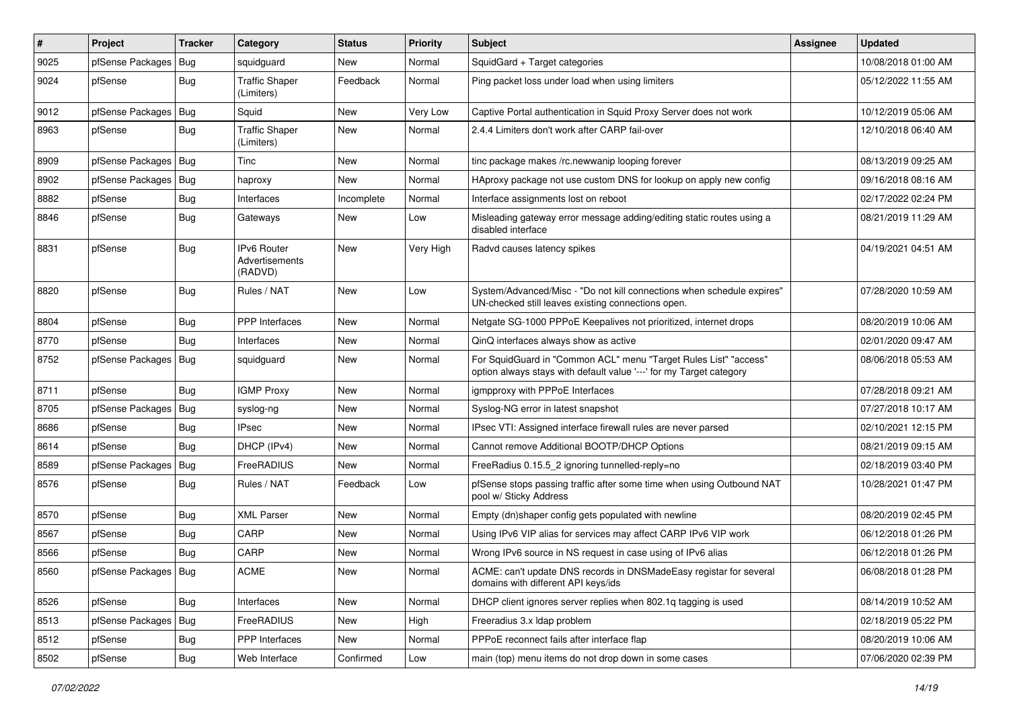| #    | Project                | <b>Tracker</b> | Category                                        | <b>Status</b> | <b>Priority</b> | <b>Subject</b>                                                                                                                          | <b>Assignee</b> | <b>Updated</b>      |
|------|------------------------|----------------|-------------------------------------------------|---------------|-----------------|-----------------------------------------------------------------------------------------------------------------------------------------|-----------------|---------------------|
| 9025 | pfSense Packages       | Bug            | squidguard                                      | New           | Normal          | SquidGard + Target categories                                                                                                           |                 | 10/08/2018 01:00 AM |
| 9024 | pfSense                | <b>Bug</b>     | <b>Traffic Shaper</b><br>(Limiters)             | Feedback      | Normal          | Ping packet loss under load when using limiters                                                                                         |                 | 05/12/2022 11:55 AM |
| 9012 | pfSense Packages   Bug |                | Squid                                           | <b>New</b>    | Very Low        | Captive Portal authentication in Squid Proxy Server does not work                                                                       |                 | 10/12/2019 05:06 AM |
| 8963 | pfSense                | Bug            | <b>Traffic Shaper</b><br>(Limiters)             | New           | Normal          | 2.4.4 Limiters don't work after CARP fail-over                                                                                          |                 | 12/10/2018 06:40 AM |
| 8909 | pfSense Packages   Bug |                | Tinc                                            | New           | Normal          | tinc package makes /rc.newwanip looping forever                                                                                         |                 | 08/13/2019 09:25 AM |
| 8902 | pfSense Packages       | Bug            | haproxy                                         | <b>New</b>    | Normal          | HAproxy package not use custom DNS for lookup on apply new config                                                                       |                 | 09/16/2018 08:16 AM |
| 8882 | pfSense                | <b>Bug</b>     | Interfaces                                      | Incomplete    | Normal          | Interface assignments lost on reboot                                                                                                    |                 | 02/17/2022 02:24 PM |
| 8846 | pfSense                | <b>Bug</b>     | Gateways                                        | New           | Low             | Misleading gateway error message adding/editing static routes using a<br>disabled interface                                             |                 | 08/21/2019 11:29 AM |
| 8831 | pfSense                | <b>Bug</b>     | <b>IPv6 Router</b><br>Advertisements<br>(RADVD) | <b>New</b>    | Very High       | Radvd causes latency spikes                                                                                                             |                 | 04/19/2021 04:51 AM |
| 8820 | pfSense                | <b>Bug</b>     | Rules / NAT                                     | New           | Low             | System/Advanced/Misc - "Do not kill connections when schedule expires"<br>UN-checked still leaves existing connections open.            |                 | 07/28/2020 10:59 AM |
| 8804 | pfSense                | <b>Bug</b>     | PPP Interfaces                                  | <b>New</b>    | Normal          | Netgate SG-1000 PPPoE Keepalives not prioritized, internet drops                                                                        |                 | 08/20/2019 10:06 AM |
| 8770 | pfSense                | Bug            | Interfaces                                      | New           | Normal          | QinQ interfaces always show as active                                                                                                   |                 | 02/01/2020 09:47 AM |
| 8752 | pfSense Packages       | Bug            | squidquard                                      | New           | Normal          | For SquidGuard in "Common ACL" menu "Target Rules List" "access"<br>option always stays with default value '---' for my Target category |                 | 08/06/2018 05:53 AM |
| 8711 | pfSense                | <b>Bug</b>     | <b>IGMP Proxy</b>                               | <b>New</b>    | Normal          | igmpproxy with PPPoE Interfaces                                                                                                         |                 | 07/28/2018 09:21 AM |
| 8705 | pfSense Packages       | Bug            | syslog-ng                                       | New           | Normal          | Syslog-NG error in latest snapshot                                                                                                      |                 | 07/27/2018 10:17 AM |
| 8686 | pfSense                | <b>Bug</b>     | <b>IPsec</b>                                    | New           | Normal          | IPsec VTI: Assigned interface firewall rules are never parsed                                                                           |                 | 02/10/2021 12:15 PM |
| 8614 | pfSense                | <b>Bug</b>     | DHCP (IPv4)                                     | <b>New</b>    | Normal          | Cannot remove Additional BOOTP/DHCP Options                                                                                             |                 | 08/21/2019 09:15 AM |
| 8589 | pfSense Packages       | Bug            | FreeRADIUS                                      | New           | Normal          | FreeRadius 0.15.5 2 ignoring tunnelled-reply=no                                                                                         |                 | 02/18/2019 03:40 PM |
| 8576 | pfSense                | <b>Bug</b>     | Rules / NAT                                     | Feedback      | Low             | pfSense stops passing traffic after some time when using Outbound NAT<br>pool w/ Sticky Address                                         |                 | 10/28/2021 01:47 PM |
| 8570 | pfSense                | <b>Bug</b>     | <b>XML Parser</b>                               | New           | Normal          | Empty (dn)shaper config gets populated with newline                                                                                     |                 | 08/20/2019 02:45 PM |
| 8567 | pfSense                | Bug            | CARP                                            | <b>New</b>    | Normal          | Using IPv6 VIP alias for services may affect CARP IPv6 VIP work                                                                         |                 | 06/12/2018 01:26 PM |
| 8566 | pfSense                | Bug            | CARP                                            | New           | Normal          | Wrong IPv6 source in NS request in case using of IPv6 alias                                                                             |                 | 06/12/2018 01:26 PM |
| 8560 | pfSense Packages   Bug |                | ACME                                            | New           | Normal          | ACME: can't update DNS records in DNSMadeEasy registar for several<br>domains with different API keys/ids                               |                 | 06/08/2018 01:28 PM |
| 8526 | pfSense                | Bug            | Interfaces                                      | New           | Normal          | DHCP client ignores server replies when 802.1q tagging is used                                                                          |                 | 08/14/2019 10:52 AM |
| 8513 | pfSense Packages   Bug |                | FreeRADIUS                                      | New           | High            | Freeradius 3.x Idap problem                                                                                                             |                 | 02/18/2019 05:22 PM |
| 8512 | pfSense                | <b>Bug</b>     | <b>PPP</b> Interfaces                           | New           | Normal          | PPPoE reconnect fails after interface flap                                                                                              |                 | 08/20/2019 10:06 AM |
| 8502 | pfSense                | Bug            | Web Interface                                   | Confirmed     | Low             | main (top) menu items do not drop down in some cases                                                                                    |                 | 07/06/2020 02:39 PM |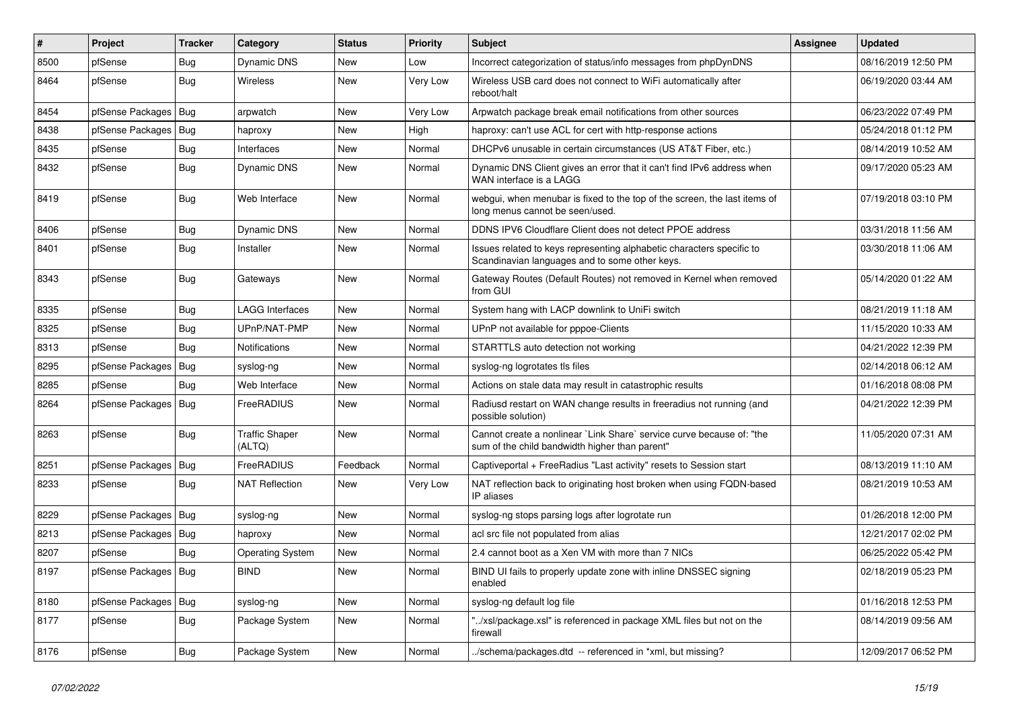| #    | Project                | <b>Tracker</b> | Category                        | <b>Status</b> | <b>Priority</b> | <b>Subject</b>                                                                                                          | <b>Assignee</b> | <b>Updated</b>      |
|------|------------------------|----------------|---------------------------------|---------------|-----------------|-------------------------------------------------------------------------------------------------------------------------|-----------------|---------------------|
| 8500 | pfSense                | <b>Bug</b>     | Dynamic DNS                     | New           | Low             | Incorrect categorization of status/info messages from phpDynDNS                                                         |                 | 08/16/2019 12:50 PM |
| 8464 | pfSense                | Bug            | Wireless                        | <b>New</b>    | Very Low        | Wireless USB card does not connect to WiFi automatically after<br>reboot/halt                                           |                 | 06/19/2020 03:44 AM |
| 8454 | pfSense Packages   Bug |                | arpwatch                        | New           | Very Low        | Arpwatch package break email notifications from other sources                                                           |                 | 06/23/2022 07:49 PM |
| 8438 | pfSense Packages       | Bug            | haproxy                         | New           | High            | haproxy: can't use ACL for cert with http-response actions                                                              |                 | 05/24/2018 01:12 PM |
| 8435 | pfSense                | <b>Bug</b>     | Interfaces                      | <b>New</b>    | Normal          | DHCPv6 unusable in certain circumstances (US AT&T Fiber, etc.)                                                          |                 | 08/14/2019 10:52 AM |
| 8432 | pfSense                | <b>Bug</b>     | Dynamic DNS                     | New           | Normal          | Dynamic DNS Client gives an error that it can't find IPv6 address when<br>WAN interface is a LAGG                       |                 | 09/17/2020 05:23 AM |
| 8419 | pfSense                | <b>Bug</b>     | Web Interface                   | New           | Normal          | webgui, when menubar is fixed to the top of the screen, the last items of<br>long menus cannot be seen/used.            |                 | 07/19/2018 03:10 PM |
| 8406 | pfSense                | <b>Bug</b>     | Dynamic DNS                     | <b>New</b>    | Normal          | DDNS IPV6 Cloudflare Client does not detect PPOE address                                                                |                 | 03/31/2018 11:56 AM |
| 8401 | pfSense                | <b>Bug</b>     | Installer                       | New           | Normal          | Issues related to keys representing alphabetic characters specific to<br>Scandinavian languages and to some other keys. |                 | 03/30/2018 11:06 AM |
| 8343 | pfSense                | <b>Bug</b>     | Gateways                        | New           | Normal          | Gateway Routes (Default Routes) not removed in Kernel when removed<br>from GUI                                          |                 | 05/14/2020 01:22 AM |
| 8335 | pfSense                | Bug            | <b>LAGG Interfaces</b>          | <b>New</b>    | Normal          | System hang with LACP downlink to UniFi switch                                                                          |                 | 08/21/2019 11:18 AM |
| 8325 | pfSense                | <b>Bug</b>     | UPnP/NAT-PMP                    | <b>New</b>    | Normal          | UPnP not available for pppoe-Clients                                                                                    |                 | 11/15/2020 10:33 AM |
| 8313 | pfSense                | <b>Bug</b>     | <b>Notifications</b>            | New           | Normal          | STARTTLS auto detection not working                                                                                     |                 | 04/21/2022 12:39 PM |
| 8295 | pfSense Packages       | Bug            | syslog-ng                       | <b>New</b>    | Normal          | syslog-ng logrotates tls files                                                                                          |                 | 02/14/2018 06:12 AM |
| 8285 | pfSense                | <b>Bug</b>     | Web Interface                   | New           | Normal          | Actions on stale data may result in catastrophic results                                                                |                 | 01/16/2018 08:08 PM |
| 8264 | pfSense Packages   Bug |                | FreeRADIUS                      | New           | Normal          | Radiusd restart on WAN change results in freeradius not running (and<br>possible solution)                              |                 | 04/21/2022 12:39 PM |
| 8263 | pfSense                | <b>Bug</b>     | <b>Traffic Shaper</b><br>(ALTQ) | New           | Normal          | Cannot create a nonlinear `Link Share` service curve because of: "the<br>sum of the child bandwidth higher than parent" |                 | 11/05/2020 07:31 AM |
| 8251 | pfSense Packages       | Bug            | FreeRADIUS                      | Feedback      | Normal          | Captiveportal + FreeRadius "Last activity" resets to Session start                                                      |                 | 08/13/2019 11:10 AM |
| 8233 | pfSense                | Bug            | <b>NAT Reflection</b>           | New           | Very Low        | NAT reflection back to originating host broken when using FQDN-based<br>IP aliases                                      |                 | 08/21/2019 10:53 AM |
| 8229 | pfSense Packages   Bug |                | syslog-ng                       | <b>New</b>    | Normal          | syslog-ng stops parsing logs after logrotate run                                                                        |                 | 01/26/2018 12:00 PM |
| 8213 | pfSense Packages   Bug |                | haproxy                         | <b>New</b>    | Normal          | acl src file not populated from alias                                                                                   |                 | 12/21/2017 02:02 PM |
| 8207 | pfSense                | Bug            | <b>Operating System</b>         | New           | Normal          | 2.4 cannot boot as a Xen VM with more than 7 NICs                                                                       |                 | 06/25/2022 05:42 PM |
| 8197 | pfSense Packages   Bug |                | <b>BIND</b>                     | New           | Normal          | BIND UI fails to properly update zone with inline DNSSEC signing<br>enabled                                             |                 | 02/18/2019 05:23 PM |
| 8180 | pfSense Packages   Bug |                | syslog-ng                       | New           | Normal          | syslog-ng default log file                                                                                              |                 | 01/16/2018 12:53 PM |
| 8177 | pfSense                | Bug            | Package System                  | New           | Normal          | "/xsl/package.xsl" is referenced in package XML files but not on the<br>firewall                                        |                 | 08/14/2019 09:56 AM |
| 8176 | pfSense                | <b>Bug</b>     | Package System                  | New           | Normal          | ./schema/packages.dtd -- referenced in *xml, but missing?                                                               |                 | 12/09/2017 06:52 PM |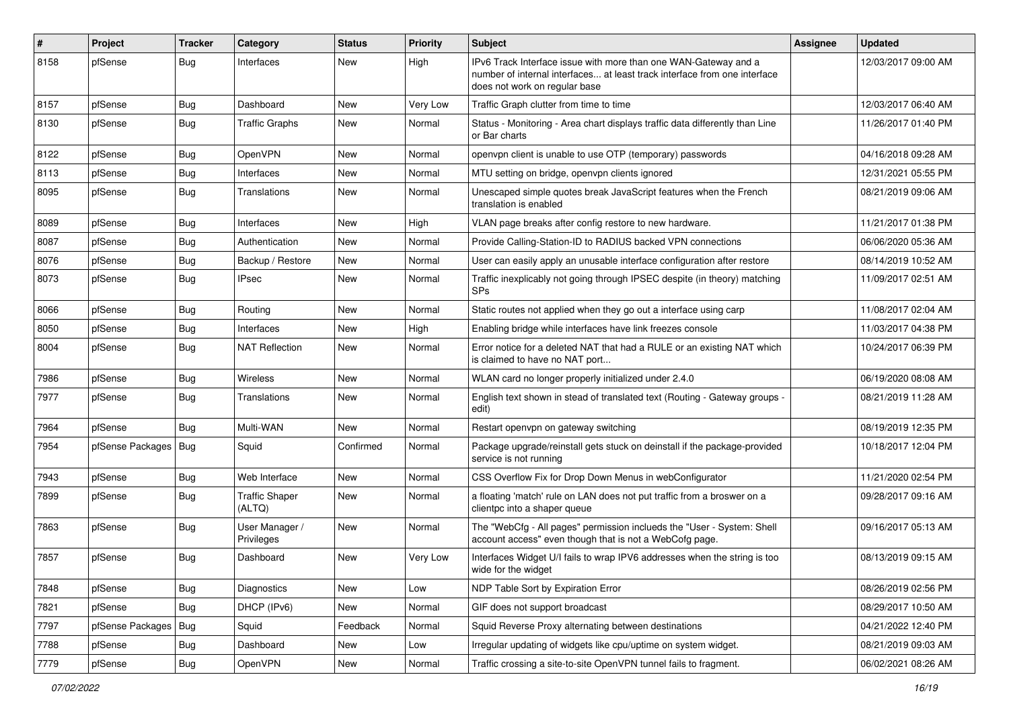| $\vert$ # | Project          | <b>Tracker</b> | Category                        | <b>Status</b> | <b>Priority</b> | <b>Subject</b>                                                                                                                                                                | <b>Assignee</b> | <b>Updated</b>      |
|-----------|------------------|----------------|---------------------------------|---------------|-----------------|-------------------------------------------------------------------------------------------------------------------------------------------------------------------------------|-----------------|---------------------|
| 8158      | pfSense          | Bug            | Interfaces                      | New           | High            | IPv6 Track Interface issue with more than one WAN-Gateway and a<br>number of internal interfaces at least track interface from one interface<br>does not work on regular base |                 | 12/03/2017 09:00 AM |
| 8157      | pfSense          | <b>Bug</b>     | Dashboard                       | New           | Very Low        | Traffic Graph clutter from time to time                                                                                                                                       |                 | 12/03/2017 06:40 AM |
| 8130      | pfSense          | <b>Bug</b>     | <b>Traffic Graphs</b>           | New           | Normal          | Status - Monitoring - Area chart displays traffic data differently than Line<br>or Bar charts                                                                                 |                 | 11/26/2017 01:40 PM |
| 8122      | pfSense          | Bug            | <b>OpenVPN</b>                  | New           | Normal          | openvpn client is unable to use OTP (temporary) passwords                                                                                                                     |                 | 04/16/2018 09:28 AM |
| 8113      | pfSense          | <b>Bug</b>     | Interfaces                      | New           | Normal          | MTU setting on bridge, openvpn clients ignored                                                                                                                                |                 | 12/31/2021 05:55 PM |
| 8095      | pfSense          | Bug            | Translations                    | New           | Normal          | Unescaped simple quotes break JavaScript features when the French<br>translation is enabled                                                                                   |                 | 08/21/2019 09:06 AM |
| 8089      | pfSense          | Bug            | Interfaces                      | New           | High            | VLAN page breaks after config restore to new hardware.                                                                                                                        |                 | 11/21/2017 01:38 PM |
| 8087      | pfSense          | <b>Bug</b>     | Authentication                  | New           | Normal          | Provide Calling-Station-ID to RADIUS backed VPN connections                                                                                                                   |                 | 06/06/2020 05:36 AM |
| 8076      | pfSense          | <b>Bug</b>     | Backup / Restore                | New           | Normal          | User can easily apply an unusable interface configuration after restore                                                                                                       |                 | 08/14/2019 10:52 AM |
| 8073      | pfSense          | Bug            | <b>IPsec</b>                    | New           | Normal          | Traffic inexplicably not going through IPSEC despite (in theory) matching<br><b>SPs</b>                                                                                       |                 | 11/09/2017 02:51 AM |
| 8066      | pfSense          | <b>Bug</b>     | Routing                         | <b>New</b>    | Normal          | Static routes not applied when they go out a interface using carp                                                                                                             |                 | 11/08/2017 02:04 AM |
| 8050      | pfSense          | <b>Bug</b>     | Interfaces                      | New           | High            | Enabling bridge while interfaces have link freezes console                                                                                                                    |                 | 11/03/2017 04:38 PM |
| 8004      | pfSense          | <b>Bug</b>     | NAT Reflection                  | New           | Normal          | Error notice for a deleted NAT that had a RULE or an existing NAT which<br>is claimed to have no NAT port                                                                     |                 | 10/24/2017 06:39 PM |
| 7986      | pfSense          | Bug            | Wireless                        | New           | Normal          | WLAN card no longer properly initialized under 2.4.0                                                                                                                          |                 | 06/19/2020 08:08 AM |
| 7977      | pfSense          | Bug            | Translations                    | New           | Normal          | English text shown in stead of translated text (Routing - Gateway groups -<br>edit)                                                                                           |                 | 08/21/2019 11:28 AM |
| 7964      | pfSense          | Bug            | Multi-WAN                       | <b>New</b>    | Normal          | Restart openvpn on gateway switching                                                                                                                                          |                 | 08/19/2019 12:35 PM |
| 7954      | pfSense Packages | <b>Bug</b>     | Squid                           | Confirmed     | Normal          | Package upgrade/reinstall gets stuck on deinstall if the package-provided<br>service is not running                                                                           |                 | 10/18/2017 12:04 PM |
| 7943      | pfSense          | Bug            | Web Interface                   | New           | Normal          | CSS Overflow Fix for Drop Down Menus in webConfigurator                                                                                                                       |                 | 11/21/2020 02:54 PM |
| 7899      | pfSense          | <b>Bug</b>     | <b>Traffic Shaper</b><br>(ALTQ) | New           | Normal          | a floating 'match' rule on LAN does not put traffic from a broswer on a<br>clientpc into a shaper queue                                                                       |                 | 09/28/2017 09:16 AM |
| 7863      | pfSense          | <b>Bug</b>     | User Manager /<br>Privileges    | New           | Normal          | The "WebCfg - All pages" permission inclueds the "User - System: Shell<br>account access" even though that is not a WebCofg page.                                             |                 | 09/16/2017 05:13 AM |
| 7857      | pfSense          | <b>Bug</b>     | Dashboard                       | New           | Very Low        | Interfaces Widget U/I fails to wrap IPV6 addresses when the string is too<br>wide for the widget                                                                              |                 | 08/13/2019 09:15 AM |
| 7848      | pfSense          | Bug            | Diagnostics                     | New           | Low             | NDP Table Sort by Expiration Error                                                                                                                                            |                 | 08/26/2019 02:56 PM |
| 7821      | pfSense          | Bug            | DHCP (IPv6)                     | New           | Normal          | GIF does not support broadcast                                                                                                                                                |                 | 08/29/2017 10:50 AM |
| 7797      | pfSense Packages | Bug            | Squid                           | Feedback      | Normal          | Squid Reverse Proxy alternating between destinations                                                                                                                          |                 | 04/21/2022 12:40 PM |
| 7788      | pfSense          | <b>Bug</b>     | Dashboard                       | New           | Low             | Irregular updating of widgets like cpu/uptime on system widget.                                                                                                               |                 | 08/21/2019 09:03 AM |
| 7779      | pfSense          | Bug            | OpenVPN                         | New           | Normal          | Traffic crossing a site-to-site OpenVPN tunnel fails to fragment.                                                                                                             |                 | 06/02/2021 08:26 AM |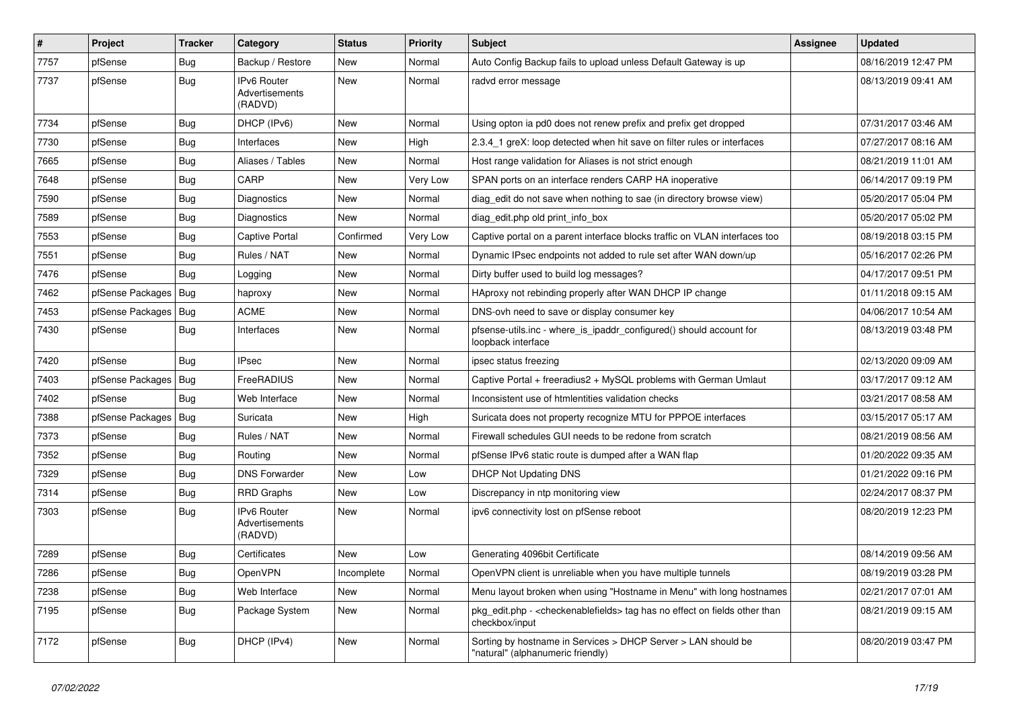| #    | Project          | <b>Tracker</b> | Category                                       | <b>Status</b> | <b>Priority</b> | <b>Subject</b>                                                                                                   | <b>Assignee</b> | <b>Updated</b>      |
|------|------------------|----------------|------------------------------------------------|---------------|-----------------|------------------------------------------------------------------------------------------------------------------|-----------------|---------------------|
| 7757 | pfSense          | <b>Bug</b>     | Backup / Restore                               | New           | Normal          | Auto Config Backup fails to upload unless Default Gateway is up                                                  |                 | 08/16/2019 12:47 PM |
| 7737 | pfSense          | Bug            | IPv6 Router<br>Advertisements<br>(RADVD)       | New           | Normal          | radvd error message                                                                                              |                 | 08/13/2019 09:41 AM |
| 7734 | pfSense          | Bug            | DHCP (IPv6)                                    | <b>New</b>    | Normal          | Using opton ia pd0 does not renew prefix and prefix get dropped                                                  |                 | 07/31/2017 03:46 AM |
| 7730 | pfSense          | Bug            | Interfaces                                     | New           | High            | 2.3.4 1 greX: loop detected when hit save on filter rules or interfaces                                          |                 | 07/27/2017 08:16 AM |
| 7665 | pfSense          | Bug            | Aliases / Tables                               | New           | Normal          | Host range validation for Aliases is not strict enough                                                           |                 | 08/21/2019 11:01 AM |
| 7648 | pfSense          | Bug            | CARP                                           | <b>New</b>    | Very Low        | SPAN ports on an interface renders CARP HA inoperative                                                           |                 | 06/14/2017 09:19 PM |
| 7590 | pfSense          | Bug            | Diagnostics                                    | <b>New</b>    | Normal          | diag edit do not save when nothing to sae (in directory browse view)                                             |                 | 05/20/2017 05:04 PM |
| 7589 | pfSense          | Bug            | Diagnostics                                    | New           | Normal          | diag edit.php old print info box                                                                                 |                 | 05/20/2017 05:02 PM |
| 7553 | pfSense          | <b>Bug</b>     | Captive Portal                                 | Confirmed     | Very Low        | Captive portal on a parent interface blocks traffic on VLAN interfaces too                                       |                 | 08/19/2018 03:15 PM |
| 7551 | pfSense          | Bug            | Rules / NAT                                    | New           | Normal          | Dynamic IPsec endpoints not added to rule set after WAN down/up                                                  |                 | 05/16/2017 02:26 PM |
| 7476 | pfSense          | <b>Bug</b>     | Logging                                        | New           | Normal          | Dirty buffer used to build log messages?                                                                         |                 | 04/17/2017 09:51 PM |
| 7462 | pfSense Packages | Bug            | haproxy                                        | New           | Normal          | HAproxy not rebinding properly after WAN DHCP IP change                                                          |                 | 01/11/2018 09:15 AM |
| 7453 | pfSense Packages | Bug            | ACME                                           | New           | Normal          | DNS-ovh need to save or display consumer key                                                                     |                 | 04/06/2017 10:54 AM |
| 7430 | pfSense          | <b>Bug</b>     | Interfaces                                     | New           | Normal          | pfsense-utils.inc - where is ipaddr configured() should account for<br>loopback interface                        |                 | 08/13/2019 03:48 PM |
| 7420 | pfSense          | Bug            | <b>IPsec</b>                                   | New           | Normal          | ipsec status freezing                                                                                            |                 | 02/13/2020 09:09 AM |
| 7403 | pfSense Packages | Bug            | FreeRADIUS                                     | New           | Normal          | Captive Portal + freeradius2 + MySQL problems with German Umlaut                                                 |                 | 03/17/2017 09:12 AM |
| 7402 | pfSense          | <b>Bug</b>     | Web Interface                                  | New           | Normal          | Inconsistent use of htmlentities validation checks                                                               |                 | 03/21/2017 08:58 AM |
| 7388 | pfSense Packages | <b>Bug</b>     | Suricata                                       | <b>New</b>    | High            | Suricata does not property recognize MTU for PPPOE interfaces                                                    |                 | 03/15/2017 05:17 AM |
| 7373 | pfSense          | Bug            | Rules / NAT                                    | <b>New</b>    | Normal          | Firewall schedules GUI needs to be redone from scratch                                                           |                 | 08/21/2019 08:56 AM |
| 7352 | pfSense          | <b>Bug</b>     | Routing                                        | <b>New</b>    | Normal          | pfSense IPv6 static route is dumped after a WAN flap                                                             |                 | 01/20/2022 09:35 AM |
| 7329 | pfSense          | Bug            | <b>DNS Forwarder</b>                           | <b>New</b>    | Low             | <b>DHCP Not Updating DNS</b>                                                                                     |                 | 01/21/2022 09:16 PM |
| 7314 | pfSense          | <b>Bug</b>     | <b>RRD Graphs</b>                              | <b>New</b>    | Low             | Discrepancy in ntp monitoring view                                                                               |                 | 02/24/2017 08:37 PM |
| 7303 | pfSense          | Bug            | <b>Pv6 Router</b><br>Advertisements<br>(RADVD) | <b>New</b>    | Normal          | ipv6 connectivity lost on pfSense reboot                                                                         |                 | 08/20/2019 12:23 PM |
| 7289 | pfSense          | Bug            | Certificates                                   | New           | Low             | Generating 4096bit Certificate                                                                                   |                 | 08/14/2019 09:56 AM |
| 7286 | pfSense          | <b>Bug</b>     | <b>OpenVPN</b>                                 | Incomplete    | Normal          | OpenVPN client is unreliable when you have multiple tunnels                                                      |                 | 08/19/2019 03:28 PM |
| 7238 | pfSense          | Bug            | Web Interface                                  | New           | Normal          | Menu layout broken when using "Hostname in Menu" with long hostnames                                             |                 | 02/21/2017 07:01 AM |
| 7195 | pfSense          | Bug            | Package System                                 | New           | Normal          | pkg_edit.php - <checkenablefields> tag has no effect on fields other than<br/>checkbox/input</checkenablefields> |                 | 08/21/2019 09:15 AM |
| 7172 | pfSense          | <b>Bug</b>     | DHCP (IPv4)                                    | <b>New</b>    | Normal          | Sorting by hostname in Services > DHCP Server > LAN should be<br>"natural" (alphanumeric friendly)               |                 | 08/20/2019 03:47 PM |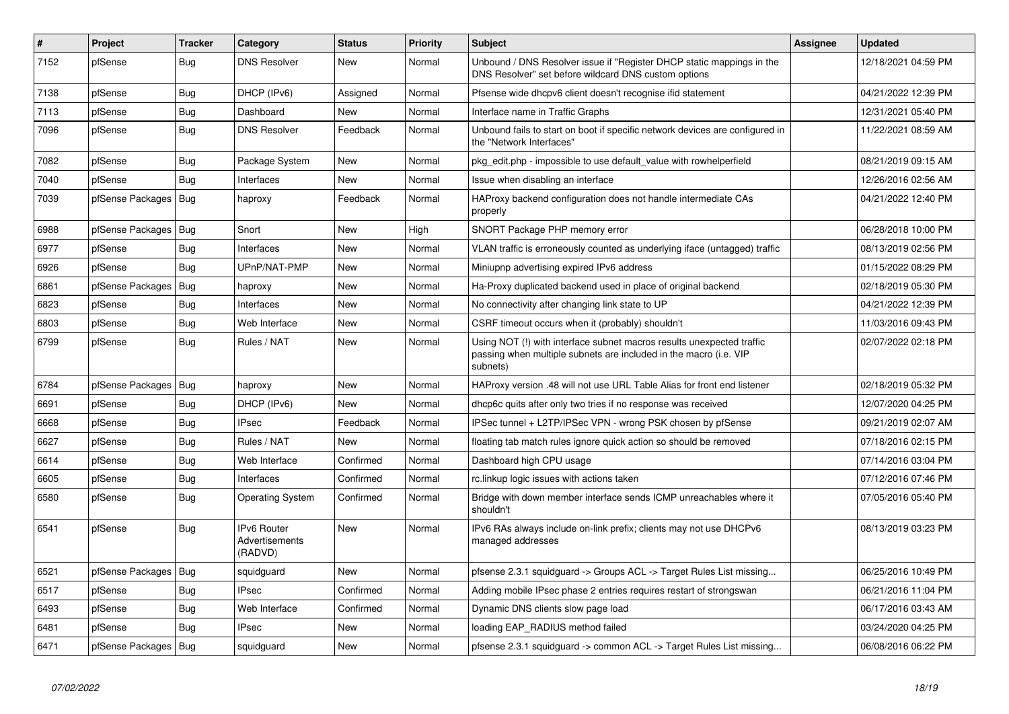| #    | Project                | <b>Tracker</b> | Category                                        | <b>Status</b> | <b>Priority</b> | <b>Subject</b>                                                                                                                                         | <b>Assignee</b> | <b>Updated</b>      |
|------|------------------------|----------------|-------------------------------------------------|---------------|-----------------|--------------------------------------------------------------------------------------------------------------------------------------------------------|-----------------|---------------------|
| 7152 | pfSense                | <b>Bug</b>     | <b>DNS Resolver</b>                             | New           | Normal          | Unbound / DNS Resolver issue if "Register DHCP static mappings in the<br>DNS Resolver" set before wildcard DNS custom options                          |                 | 12/18/2021 04:59 PM |
| 7138 | pfSense                | Bug            | DHCP (IPv6)                                     | Assigned      | Normal          | Pfsense wide dhcpv6 client doesn't recognise ifid statement                                                                                            |                 | 04/21/2022 12:39 PM |
| 7113 | pfSense                | <b>Bug</b>     | Dashboard                                       | <b>New</b>    | Normal          | Interface name in Traffic Graphs                                                                                                                       |                 | 12/31/2021 05:40 PM |
| 7096 | pfSense                | Bug            | <b>DNS Resolver</b>                             | Feedback      | Normal          | Unbound fails to start on boot if specific network devices are configured in<br>the "Network Interfaces"                                               |                 | 11/22/2021 08:59 AM |
| 7082 | pfSense                | Bug            | Package System                                  | <b>New</b>    | Normal          | pkg edit.php - impossible to use default value with rowhelperfield                                                                                     |                 | 08/21/2019 09:15 AM |
| 7040 | pfSense                | Bug            | Interfaces                                      | New           | Normal          | Issue when disabling an interface                                                                                                                      |                 | 12/26/2016 02:56 AM |
| 7039 | pfSense Packages       | <b>Bug</b>     | haproxy                                         | Feedback      | Normal          | HAProxy backend configuration does not handle intermediate CAs<br>properly                                                                             |                 | 04/21/2022 12:40 PM |
| 6988 | pfSense Packages       | <b>Bug</b>     | Snort                                           | <b>New</b>    | High            | SNORT Package PHP memory error                                                                                                                         |                 | 06/28/2018 10:00 PM |
| 6977 | pfSense                | <b>Bug</b>     | Interfaces                                      | <b>New</b>    | Normal          | VLAN traffic is erroneously counted as underlying iface (untagged) traffic                                                                             |                 | 08/13/2019 02:56 PM |
| 6926 | pfSense                | <b>Bug</b>     | UPnP/NAT-PMP                                    | New           | Normal          | Miniupnp advertising expired IPv6 address                                                                                                              |                 | 01/15/2022 08:29 PM |
| 6861 | pfSense Packages       | <b>Bug</b>     | haproxy                                         | New           | Normal          | Ha-Proxy duplicated backend used in place of original backend                                                                                          |                 | 02/18/2019 05:30 PM |
| 6823 | pfSense                | Bug            | Interfaces                                      | New           | Normal          | No connectivity after changing link state to UP                                                                                                        |                 | 04/21/2022 12:39 PM |
| 6803 | pfSense                | <b>Bug</b>     | Web Interface                                   | New           | Normal          | CSRF timeout occurs when it (probably) shouldn't                                                                                                       |                 | 11/03/2016 09:43 PM |
| 6799 | pfSense                | <b>Bug</b>     | Rules / NAT                                     | New           | Normal          | Using NOT (!) with interface subnet macros results unexpected traffic<br>passing when multiple subnets are included in the macro (i.e. VIP<br>subnets) |                 | 02/07/2022 02:18 PM |
| 6784 | pfSense Packages       | <b>Bug</b>     | haproxy                                         | <b>New</b>    | Normal          | HAProxy version .48 will not use URL Table Alias for front end listener                                                                                |                 | 02/18/2019 05:32 PM |
| 6691 | pfSense                | Bug            | DHCP (IPv6)                                     | New           | Normal          | dhcp6c quits after only two tries if no response was received                                                                                          |                 | 12/07/2020 04:25 PM |
| 6668 | pfSense                | Bug            | <b>IPsec</b>                                    | Feedback      | Normal          | IPSec tunnel + L2TP/IPSec VPN - wrong PSK chosen by pfSense                                                                                            |                 | 09/21/2019 02:07 AM |
| 6627 | pfSense                | <b>Bug</b>     | Rules / NAT                                     | New           | Normal          | floating tab match rules ignore quick action so should be removed                                                                                      |                 | 07/18/2016 02:15 PM |
| 6614 | pfSense                | Bug            | Web Interface                                   | Confirmed     | Normal          | Dashboard high CPU usage                                                                                                                               |                 | 07/14/2016 03:04 PM |
| 6605 | pfSense                | Bug            | Interfaces                                      | Confirmed     | Normal          | rc.linkup logic issues with actions taken                                                                                                              |                 | 07/12/2016 07:46 PM |
| 6580 | pfSense                | <b>Bug</b>     | Operating System                                | Confirmed     | Normal          | Bridge with down member interface sends ICMP unreachables where it<br>shouldn't                                                                        |                 | 07/05/2016 05:40 PM |
| 6541 | pfSense                | Bug            | <b>IPv6 Router</b><br>Advertisements<br>(RADVD) | New           | Normal          | IPv6 RAs always include on-link prefix; clients may not use DHCPv6<br>managed addresses                                                                |                 | 08/13/2019 03:23 PM |
| 6521 | pfSense Packages       | Bug            | squidguard                                      | <b>New</b>    | Normal          | pfsense 2.3.1 squidguard -> Groups ACL -> Target Rules List missing                                                                                    |                 | 06/25/2016 10:49 PM |
| 6517 | pfSense                | Bug            | <b>IPsec</b>                                    | Confirmed     | Normal          | Adding mobile IPsec phase 2 entries requires restart of strongswan                                                                                     |                 | 06/21/2016 11:04 PM |
| 6493 | pfSense                | Bug            | Web Interface                                   | Confirmed     | Normal          | Dynamic DNS clients slow page load                                                                                                                     |                 | 06/17/2016 03:43 AM |
| 6481 | pfSense                | Bug            | <b>IPsec</b>                                    | New           | Normal          | loading EAP_RADIUS method failed                                                                                                                       |                 | 03/24/2020 04:25 PM |
| 6471 | pfSense Packages   Bug |                | squidguard                                      | New           | Normal          | pfsense 2.3.1 squidguard -> common ACL -> Target Rules List missing                                                                                    |                 | 06/08/2016 06:22 PM |